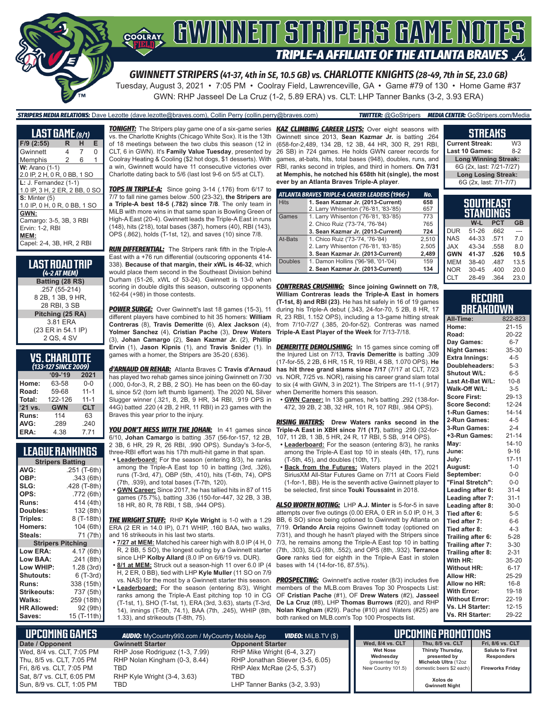

*GWINNETT STRIPERS (41-37, 4th in SE, 10.5 GB) vs. CHARLOTTE KNIGHTS (28-49, 7th in SE, 23.0 GB)* Tuesday, August 3, 2021 • 7:05 PM • Coolray Field, Lawrenceville, GA • Game #79 of 130 • Home Game #37 GWN: RHP Jasseel De La Cruz (1-2, 5.89 ERA) vs. CLT: LHP Tanner Banks (3-2, 3.93 ERA)

#### *STRIPERS MEDIA RELATIONS:* Dave Lezotte (dave.lezotte@braves.com), Collin Perry (collin.perry@braves.com) *TWITTER:* @GoStripers *MEDIA CENTER:* GoStripers.com/Media

| <b>LAST GAME</b> (8/1)                                                                  |   |                |          |
|-----------------------------------------------------------------------------------------|---|----------------|----------|
| $F/9$ (2:55)                                                                            | R | н              | Е        |
| Gwinnett                                                                                | 4 | $\overline{7}$ | $\Omega$ |
| Memphis                                                                                 | 2 | 6              | 1        |
| <b>W:</b> Arano (1-1)<br>2.0 IP, 2 H, 0 R, 0 BB, 1 SO                                   |   |                |          |
| $L: J.$ Fernandez $(1-1)$<br>1.0 IP, 3 H, 2 ER, 2 BB, 0 SO                              |   |                |          |
| $S:$ Minter $(5)$<br>1.0 IP, 0 H, 0 R, 0 BB, 1 SO                                       |   |                |          |
| GWN:<br>Camargo: 3-5, 3B, 3 RBI<br>Ervin: 1-2, RBI<br>MEM:<br>Capel: 2-4, 3B, HR, 2 RBI |   |                |          |

| LAST ROAD TRIP<br>(4-2 AT MEM) |
|--------------------------------|
| Batting (28 RS)                |
| .257 (55-214)                  |
| 8 2B, 1 3B, 9 HR,              |
| 28 RBI. 3 SB                   |
| Pitching (25 RA)               |
| 3.81 ERA                       |
| (23 ER in 54.1 IP)             |
| 2 QS, 4 SV                     |

#### **VS. CHARLOTTE**  *(133-127 SINCE 2009)*

| $09 - 19$  | 2021       |  |  |  |
|------------|------------|--|--|--|
| 63-58      | $0 - 0$    |  |  |  |
| 59-68      | $11 - 1$   |  |  |  |
| 122-126    | $11 - 1$   |  |  |  |
| <b>GWN</b> | <b>CLT</b> |  |  |  |
| 114        | 63         |  |  |  |
| .289       | .240       |  |  |  |
| 4.38       | 7.71       |  |  |  |
|            |            |  |  |  |

#### **LEAGUE RANKINGS**

| <b>Stripers Batting</b>  |              |  |  |  |
|--------------------------|--------------|--|--|--|
| AVG:                     | .251 (T-6th) |  |  |  |
| OBP:                     | .343 (6th)   |  |  |  |
| SLG:                     | .428 (T-8th) |  |  |  |
| OPS:                     | .772 (6th)   |  |  |  |
| <b>Runs:</b>             | 414 (4th)    |  |  |  |
| Doubles:                 | 132 (8th)    |  |  |  |
| Triples:                 | 8 (T-18th)   |  |  |  |
| <b>Homers:</b>           | 104 (6th)    |  |  |  |
| Steals:                  | 71 (7th)     |  |  |  |
| <b>Stripers Pitching</b> |              |  |  |  |
| <b>Low ERA:</b>          | 4.17 (6th)   |  |  |  |
| Low BAA:                 | .241 (8th)   |  |  |  |
| Low WHIP:                | 1.28 (3rd)   |  |  |  |
| <b>Shutouts:</b>         | 6 (T-3rd)    |  |  |  |
| <b>Runs:</b>             | 338 (15th)   |  |  |  |
| <b>Strikeouts:</b>       | 737 (5th)    |  |  |  |
| Walks:                   | 259 (18th)   |  |  |  |
| <b>HR Allowed:</b>       | 92 (9th)     |  |  |  |
| Saves:                   | 15 (T-11th)  |  |  |  |

vs. the Charlotte Knights (Chicago White Sox). It is the 13th of 18 meetings between the two clubs this season (12 in CLT, 6 in GWN). It's **Family Value Tuesday**, presented by Coolray Heating & Cooling (\$2 hot dogs, \$1 desserts). With a win, Gwinnett would have 11 consecutive victories over Charlotte dating back to 5/6 (last lost 9-6 on 5/5 at CLT).

*TOPS IN TRIPLE-A:* Since going 3-14 (.176) from 6/17 to 7/7 to fall nine games below .500 (23-32), **the Stripers are a Triple-A best 18-5 (.782) since 7/8**. The only team in MiLB with more wins in that same span is Bowling Green of High-A East (20-4). Gwinnett leads the Triple-A East in runs (148), hits (218), total bases (387), homers (40), RBI (143), OPS (.862), holds (T-1st, 12), and saves (10) since 7/8.

*RUN DIFFERENTIAL:* The Stripers rank fifth in the Triple-A East with a +76 run differential (outscoring opponents 414- 338). **Because of that margin, their xWL is 46-32**, which would place them second in the Southeast Division behind Durham (51-26, xWL of 53-24). Gwinnett is 13-0 when scoring in double digits this season, outscoring opponents *CONTRERAS CRUSHING:* **Since joining Gwinnett on 7/8,**  162-64 (+98) in those contests.

**POWER SURGE:** Over Gwinnett's last 18 games (15-3), 11 different players have combined to hit 35 homers: **William Contreras** (8), **Travis Demeritte** (6), **Alex Jackson** (4), **Yolmer Sanchez** (4), **Cristian Pache** (3), **Drew Waters** (3), **Johan Camargo** (2), **Sean Kazmar Jr.** (2), **Phillip Ervin** (1), **Jason Kipnis** (1), and **Travis Snider** (1). In games with a homer, the Stripers are 35-20 (.636).

*d'ARNAUD ON REHAB:* Atlanta Braves C **Travis d'Arnaud** has played two rehab games since joining Gwinnett on 7/30 (.000, 0-for-3, R, 2 BB, 2 SO). He has been on the 60-day IL since 5/2 (torn left thumb ligament). The 2020 NL Silver Slugger winner (.321, 8, 2B, 9 HR, 34 RBI, .919 OPS in 44G) batted .220 (4 2B, 2 HR, 11 RBI) in 23 games with the Braves this year prior to the injury.

*YOU DON'T MESS WITH THE JOHAN:* In 41 games since 6/10, **Johan Camargo** is batting .357 (56-for-157, 12 2B, 2 3B, 6 HR, 29 R, 26 RBI, .990 OPS). Sunday's 3-for-5, three-RBI effort was his 17th multi-hit game in that span.

- **• Leaderboard:** For the season (entering 8/3), he ranks among the Triple-A East top 10 in batting (3rd, .326), runs (T-3rd, 47), OBP (5th, .410), hits (T-6th, 74), OPS (7th, .939), and total bases (T-7th, 120).
- **• GWN Career:** Since 2017, he has tallied hits in 87 of 115 games (75.7%), batting .336 (150-for-447, 32 2B, 3 3B, 18 HR, 80 R, 78 RBI, 1 SB, .944 OPS).

*THE WRIGHT STUFF:* RHP **Kyle Wright** is 1-0 with a 1.29 ERA (2 ER in 14.0 IP), 0.71 WHIP, .160 BAA, two walks, and 16 strikeouts in his last two starts.

**• 7/27 at MEM:** Matched his career high with 8.0 IP (4 H, 0 R, 2 BB, 5 SO), the longest outing by a Gwinnett starter since LHP **Kolby Allard** (8.0 IP on 6/6/19 vs. DUR).

**• 8/1 at MEM:** Struck out a season-high 11 over 6.0 IP (4 H, 2 ER, 0 BB), tied with LHP **Kyle Muller** (11 SO on 7/9 vs. NAS) for the most by a Gwinnett starter this season. **• Leaderboard:** For the season (entering 8/3), Wright ranks among the Triple-A East pitching top 10 in CG (T-1st, 1), SHO (T-1st, 1), ERA (3rd, 3.63), starts (T-3rd, 14), innings (T-5th, 74.1), BAA (7th, .245), WHIP (8th, 1.33), and strikeouts (T-8th, 75).

*TONIGHT:* The Stripers play game one of a six-game series *KAZ CLIMBING CAREER LISTS:* Over eight seasons with Gwinnett since 2013, **Sean Kazmar Jr.** is batting .264 (658-for-2,489, 134 2B, 12 3B, 44 HR, 300 R, 291 RBI, 26 SB) in 724 games. He holds GWN career records for games, at-bats, hits, total bases (948), doubles, runs, and RBI, ranks second in triples, and third in homers. **On 7/31 at Memphis, he notched his 658th hit (single), the most ever by an Atlanta Braves Triple-A player**.

|                | ATLANTA BRAVES TRIPLE-A CAREER LEADERS (1966-) | No.   |
|----------------|------------------------------------------------|-------|
| <b>Hits</b>    | 1. Sean Kazmar Jr. (2013-Current)              | 658   |
|                | 2. Larry Whisenton ('76-'81, '83-'85)          | 657   |
| Games          | 1. Larry Whisenton ('76-'81, '83-'85)          | 773   |
|                | 2. Chico Ruiz ('73-'74, '76-'84)               | 765   |
|                | 3. Sean Kazmar Jr. (2013-Current)              | 724   |
| At-Bats        | 1. Chico Ruiz ('73-'74, '76-'84)               | 2.510 |
|                | 2. Larry Whisenton ('76-'81, '83-'85)          | 2,505 |
|                | 3. Sean Kazmar Jr. (2013-Current)              | 2,489 |
| <b>Doubles</b> | 1. Damon Hollins ('96-'98, '01-'04)            | 159   |
|                | 2. Sean Kazmar Jr. (2013-Current)              | 134   |

**William Contreras leads the Triple-A East in homers (T-1st, 8) and RBI (23)**. He has hit safely in 16 of 19 games during his Triple-A debut (.343, 24-for-70, 5 2B, 8 HR, 17 R, 23 RBI, 1.152 OPS), including a 13-game hitting streak from 7/10-7/27 (.385, 20-for-52). Contreras was named **Triple-A East Player of the Week** for 7/13-7/18.

**DEMERITTE DEMOLISHING:** In 15 games since coming off the Injured List on 7/13, **Travis Demeritte** is batting .309 (17-for-55, 2 2B, 6 HR, 15 R, 19 RBI, 4 SB, 1.070 OPS). **He has hit three grand slams since 7/17** (7/17 at CLT, 7/23 vs. NOR, 7/25 vs. NOR), raising his career grand slam total to six (4 with GWN, 3 in 2021). The Stripers are 11-1 (.917) when Demeritte homers this season.

**• GWN Career:** In 138 games, he's batting .292 (138-for-472, 39 2B, 2 3B, 32 HR, 101 R, 107 RBI, .984 OPS).

*RISING WATERS:* **Drew Waters ranks second in the Triple-A East in XBH since 7/1 (17)**, batting .299 (32-for-107, 11 2B, 1 3B, 5 HR, 24 R, 17 RBI, 5 SB, .914 OPS).

- **• Leaderboard:** For the season (entering 8/3), he ranks among the Triple-A East top 10 in steals (4th, 17), runs (T-5th, 45), and doubles (10th, 17).
- **• Back from the Futures:** Waters played in the 2021 SiriusXM All-Star Futures Game on 7/11 at Coors Field (1-for-1, BB). He is the seventh active Gwinnett player to be selected, first since **Touki Toussaint** in 2018.

*ALSO WORTH NOTING:* LHP **A.J. Minter** is 5-for-5 in save attempts over five outings (0.00 ERA, 0 ER in 5.0 IP, 0 H, 3 BB, 6 SO) since being optioned to Gwinnett by Atlanta on 7/19. **Orlando Arcia** rejoins Gwinnett today (optioned on 7/31), and though he hasn't played with the Stripers since 7/3, he remains among the Triple-A East top 10 in batting (7th, .303), SLG (8th, .552), and OPS (8th, .932). **Terrance Gore** ranks tied for eighth in the Triple-A East in stolen bases with 14 (14-for-16, 87.5%).

**PROSPECTING:** Gwinnett's active roster (8/3) includes five members of the MLB.com Braves Top 30 Prospects List: OF **Cristian Pache** (#1), OF **Drew Waters** (#2), **Jasseel De La Cruz** (#8), LHP **Thomas Burrows** (#20), and RHP **Nolan Kingham** (#29). Pache (#10) and Waters (#25) are both ranked on MLB.com's Top 100 Prospects list.

#### **STREAKS Current Streak:** W3<br>**Last 10 Games:** 8-2 **Last 10 Games:**

**Long Winning Streak:** 6G (2x, last: 7/21-7/27) **Long Losing Streak:** 6G (2x, last: 7/1-7/7)

|            | <b>SOUTHEAST</b> |            |           |
|------------|------------------|------------|-----------|
|            | <b>STANDINGS</b> |            |           |
|            | $W-L$            | <b>PCT</b> | <b>GB</b> |
| <b>DUR</b> | 51-26            | .662       | ---       |
| <b>NAS</b> | 44-33            | .571       | 7.0       |
| <b>JAX</b> | 43-34            | .558       | 8.0       |
| <b>GWN</b> | 41-37            | .526       | 10.5      |

| RECORD<br><b>BREAKDOWN</b> |           |      |      |  |  |  |
|----------------------------|-----------|------|------|--|--|--|
|                            |           |      |      |  |  |  |
| CLT                        | 28-49     | .364 | 23.0 |  |  |  |
| NOR                        | $30 - 45$ | .400 | 20.0 |  |  |  |
| МЕМ                        | 38-40     | .487 | 13.5 |  |  |  |

| All-Time:             | 822-823   |
|-----------------------|-----------|
| Home:                 | $21 - 15$ |
| Road:                 | 20-22     |
| Day Games:            | $6-7$     |
| <b>Night Games:</b>   | 35-30     |
| <b>Extra Innings:</b> | $4 - 5$   |
| Doubleheaders:        | $5 - 3$   |
| Shutout W/L:          | $6 - 5$   |
| Last At-Bat W/L:      | $10 - 8$  |
| Walk-Off W/L:         | $3-5$     |
| <b>Score First:</b>   | 29-13     |
| Score Second:         | $12 - 24$ |
| 1-Run Games:          | $14 - 14$ |
| 2-Run Games:          | $4 - 5$   |
| 3-Run Games:          | $2 - 4$   |
| +3-Run Games:         | $21 - 14$ |
| May:                  | $14 - 10$ |
| June:                 | $9 - 16$  |
| July:                 | $17 - 11$ |
| August:               | $1 - 0$   |
| September:            | $0-0$     |
| "Final Stretch":      | $0-0$     |
| Leading after 6:      | $31 - 4$  |
| Leading after 7:      | $31 - 1$  |
| Leading after 8:      | $30 - 0$  |
| Tied after 6:         | $5 - 5$   |
| Tied after 7:         | $6-6$     |
| Tied after 8:         | $4 - 3$   |
| Trailing after 6:     | $5 - 28$  |
| Trailing after 7:     | $3 - 30$  |
| Trailing after 8:     | $2 - 31$  |
| With HR:              | 35-20     |
| <b>Without HR:</b>    | $6 - 17$  |
| Allow HR:             | 25-29     |
| Allow no HR:          | $16 - 8$  |
| With Error:           | 19-18     |
| <b>Without Error:</b> | $22 - 19$ |
| Vs. LH Starter:       | $12 - 15$ |
| Vs. RH Starter:       | 29-22     |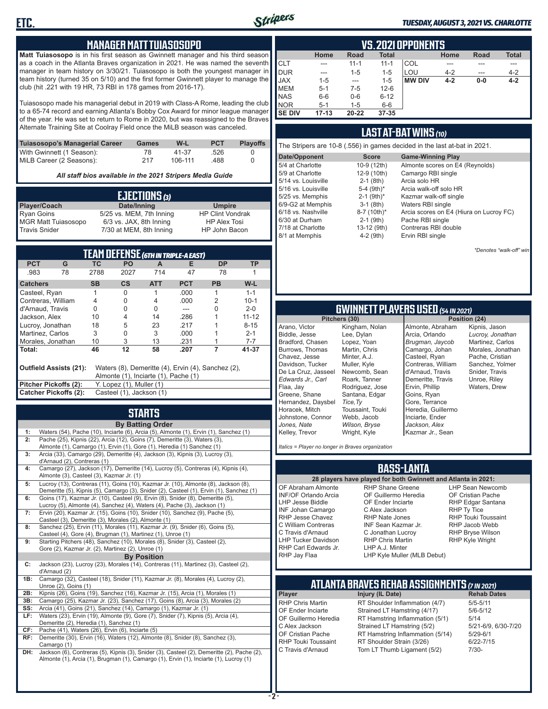

#### *TUESDAY, AUGUST 3, 2021 VS. CHARLOTTE*

#### **MANAGER MATT TUIASOSOPO**

**Matt Tuiasosopo** is in his first season as Gwinnett manager and his third season as a coach in the Atlanta Braves organization in 2021. He was named the seventh manager in team history on 3/30/21. Tuiasosopo is both the youngest manager in team history (turned 35 on 5/10) and the first former Gwinnett player to manage the club (hit .221 with 19 HR, 73 RBI in 178 games from 2016-17).

Tuiasosopo made his managerial debut in 2019 with Class-A Rome, leading the club to a 65-74 record and earning Atlanta's Bobby Cox Award for minor league manager of the year. He was set to return to Rome in 2020, but was reassigned to the Braves Alternate Training Site at Coolray Field once the MiLB season was canceled.

| Tuiasosopo's Managerial Career | Games | W-L     | <b>PCT</b> | <b>Plavoffs</b> |
|--------------------------------|-------|---------|------------|-----------------|
| With Gwinnett (1 Season):      | 78    | 41-37   | .526       |                 |
| MiLB Career (2 Seasons):       | 217   | 106-111 | .488       |                 |

*All staff bios available in the 2021 Stripers Media Guide*

| EJECTIONS (3)              |                          |                         |  |  |  |
|----------------------------|--------------------------|-------------------------|--|--|--|
| Player/Coach               | Date/Inning              | <b>Umpire</b>           |  |  |  |
| <b>Ryan Goins</b>          | 5/25 vs. MEM, 7th Inning | <b>HP Clint Vondrak</b> |  |  |  |
| <b>MGR Matt Tuiasosopo</b> | 6/3 vs. JAX, 8th Inning  | <b>HP Alex Tosi</b>     |  |  |  |
| <b>Travis Snider</b>       | 7/30 at MEM, 8th Inning  | HP John Bacon           |  |  |  |

| TEAM DEFENSE (6TH IN TRIPLE-A EAST)                                                                                  |    |                          |                          |            |            |           |           |
|----------------------------------------------------------------------------------------------------------------------|----|--------------------------|--------------------------|------------|------------|-----------|-----------|
| <b>PCT</b>                                                                                                           | G  | ТC                       | <b>PO</b>                | A          | F          | <b>DP</b> | ΤP        |
| .983                                                                                                                 | 78 | 2788                     | 2027                     | 714        | 47         | 78        |           |
| <b>Catchers</b>                                                                                                      |    | <b>SB</b>                | cs                       | <b>ATT</b> | <b>PCT</b> | <b>PB</b> | W-L       |
| Casteel, Ryan                                                                                                        |    |                          | 0                        |            | .000       |           | $1 - 1$   |
| Contreras, William                                                                                                   |    | 4                        | 0                        | 4          | .000       | 2         | $10 - 1$  |
| d'Arnaud, Travis                                                                                                     |    | U                        | U                        | U          |            | U         | $2 - 0$   |
| Jackson, Alex                                                                                                        |    | 10                       | 4                        | 14         | .286       |           | $11 - 12$ |
| Lucroy, Jonathan                                                                                                     |    | 18                       | 5                        | 23         | .217       |           | $8 - 15$  |
| Martinez, Carlos                                                                                                     |    | 3                        | 0                        | 3          | .000       |           | $2 - 1$   |
| Morales, Jonathan                                                                                                    |    | 10                       | 3                        | 13         | .231       |           | $7 - 7$   |
| l Total:                                                                                                             |    | 46                       | 12                       | 58         | .207       | 7         | 41-37     |
| Outfield Assists (21):<br>Waters (8), Demeritte (4), Ervin (4), Sanchez (2),<br>Almonte (1), Inciarte (1), Pache (1) |    |                          |                          |            |            |           |           |
| Pitcher Pickoffs (2):                                                                                                |    |                          | Y. Lopez (1), Muller (1) |            |            |           |           |
| Catcher Pickoffs (2):                                                                                                |    | Casteel (1), Jackson (1) |                          |            |            |           |           |

## **STARTS**

|     | <b>By Batting Order</b>                                                                    |
|-----|--------------------------------------------------------------------------------------------|
| 1:  | Waters (54), Pache (10), Inciarte (6), Arcia (5), Almonte (1), Ervin (1), Sanchez (1)      |
| 2:  | Pache (25), Kipnis (22), Arcia (12), Goins (7), Demeritte (3), Waters (3),                 |
|     | Almonte (1), Camargo (1), Ervin (1), Gore (1), Heredia (1) Sanchez (1)                     |
| 3:  | Arcia (33), Camargo (29), Demeritte (4), Jackson (3), Kipnis (3), Lucroy (3),              |
|     | d'Arnaud (2), Contreras (1)                                                                |
| 4:  | Camargo (27), Jackson (17), Demeritte (14), Lucroy (5), Contreras (4), Kipnis (4),         |
|     | Almonte (3), Casteel (3), Kazmar Jr. (1)                                                   |
| 5:  | Lucroy (13), Contreras (11), Goins (10), Kazmar Jr. (10), Almonte (8), Jackson (8),        |
|     | Demeritte (5), Kipnis (5), Camargo (3), Snider (2), Casteel (1), Ervin (1), Sanchez (1)    |
| 6:  | Goins (17), Kazmar Jr. (10), Casteel (9), Ervin (8), Snider (8), Demeritte (5),            |
|     | Lucroy (5), Almonte (4), Sanchez (4), Waters (4), Pache (3), Jackson (1)                   |
| 7:  | Ervin (20), Kazmar Jr. (15), Goins (10), Snider (10), Sanchez (9), Pache (5),              |
|     | Casteel (3), Demeritte (3), Morales (2), Almonte (1)                                       |
| 8:  | Sanchez (25), Ervin (11), Morales (11), Kazmar Jr. (9), Snider (6), Goins (5),             |
|     | Casteel (4), Gore (4), Brugman (1), Martinez (1), Unroe (1)                                |
| 9:  | Starting Pitchers (48), Sanchez (10), Morales (8), Snider (3), Casteel (2),                |
|     | Gore (2), Kazmar Jr. (2), Martinez (2), Unroe (1)                                          |
|     | <b>By Position</b>                                                                         |
|     |                                                                                            |
| C:  | Jackson (23), Lucroy (23), Morales (14), Contreras (11), Martinez (3), Casteel (2),        |
|     | d'Arnaud (2)                                                                               |
| 1B: | Camargo (32), Casteel (18), Snider (11), Kazmar Jr. (8), Morales (4), Lucroy (2),          |
|     | Unroe (2), Goins (1)                                                                       |
| 2B: | Kipnis (26), Goins (19), Sanchez (16), Kazmar Jr. (15), Arcia (1), Morales (1)             |
| 3B: | Camargo (25), Kazmar Jr. (23), Sanchez (17), Goins (8), Arcia (3), Morales (2)             |
| SS: | Arcia (41), Goins (21), Sanchez (14), Camargo (1), Kazmar Jr. (1)                          |
| LF: | Waters (23), Ervin (19), Almonte (9), Gore (7), Snider (7), Kipnis (5), Arcia (4),         |
|     | Demeritte (2), Heredia (1), Sanchez (1)                                                    |
| CF: | Pache (41), Waters (26), Ervin (6), Inciarte (5)                                           |
| RF: | Demeritte (30), Ervin (16), Waters (12), Almonte (8), Snider (8), Sanchez (3),             |
|     | Camargo (1)                                                                                |
| DH: | Jackson (6), Contreras (5), Kipnis (3), Snider (3), Casteel (2), Demeritte (2), Pache (2), |
|     | Almonte (1), Arcia (1), Brugman (1), Camargo (1), Ervin (1), Inciarte (1), Lucroy (1)      |
|     |                                                                                            |
|     |                                                                                            |

|               | VS. 2021 OPPONENTS |          |              |               |         |       |              |  |  |  |  |  |
|---------------|--------------------|----------|--------------|---------------|---------|-------|--------------|--|--|--|--|--|
|               | Home               | Road     | <b>Total</b> |               | Home    | Road  | <b>Total</b> |  |  |  |  |  |
| <b>CLT</b>    | ---                | $11 - 1$ | $11 - 1$     | COL           |         |       | ---          |  |  |  |  |  |
| <b>DUR</b>    | ---                | $1 - 5$  | $1 - 5$      | LOU           | $4 - 2$ | ---   | $4 - 2$      |  |  |  |  |  |
| <b>JAX</b>    | $1 - 5$            | ---      | $1 - 5$      | <b>MW DIV</b> | $4 - 2$ | $0-0$ | $4 - 2$      |  |  |  |  |  |
| <b>IMEM</b>   | $5 - 1$            | 7-5      | $12 - 6$     |               |         |       |              |  |  |  |  |  |
| <b>NAS</b>    | $6-6$              | $0-6$    | $6 - 12$     |               |         |       |              |  |  |  |  |  |
| <b>NOR</b>    | $5 - 1$            | $1 - 5$  | $6-6$        |               |         |       |              |  |  |  |  |  |
| <b>SE DIV</b> | $17 - 13$          | 20-22    | $37 - 35$    |               |         |       |              |  |  |  |  |  |

#### **LAST AT-BAT WINS** *(10)*

| The Stripers are 10-8 (.556) in games decided in the last at-bat in 2021. |                          |                                         |  |  |  |  |  |  |  |
|---------------------------------------------------------------------------|--------------------------|-----------------------------------------|--|--|--|--|--|--|--|
| Date/Opponent                                                             | <b>Score</b>             | <b>Game-Winning Play</b>                |  |  |  |  |  |  |  |
| 5/4 at Charlotte                                                          | 10-9 (12th)              | Almonte scores on E4 (Reynolds)         |  |  |  |  |  |  |  |
| 5/9 at Charlotte                                                          | 12-9 (10th)              | Camargo RBI single                      |  |  |  |  |  |  |  |
| 5/14 vs. Louisville                                                       | $2-1$ (8th)              | Arcia solo HR                           |  |  |  |  |  |  |  |
| 5/16 vs. Louisville                                                       | 5-4 (9th)*               | Arcia walk-off solo HR                  |  |  |  |  |  |  |  |
| 5/25 vs. Memphis                                                          | $2-1$ (9th) <sup>*</sup> | Kazmar walk-off single                  |  |  |  |  |  |  |  |
| 6/9-G2 at Memphis                                                         | $3-1$ (8th)              | Waters RBI single                       |  |  |  |  |  |  |  |
| 6/18 vs. Nashville                                                        | 8-7 (10th)*              | Arcia scores on E4 (Hiura on Lucroy FC) |  |  |  |  |  |  |  |
| 6/30 at Durham                                                            | $2-1$ (9th)              | Pache RBI single                        |  |  |  |  |  |  |  |
| 7/18 at Charlotte                                                         | 13-12 (9th)              | Contreras RBI double                    |  |  |  |  |  |  |  |
| 8/1 at Memphis                                                            | $4-2$ (9th)              | Ervin RBI single                        |  |  |  |  |  |  |  |

*\*Denotes "walk-off" win*

# **GWINNETT PLAYERS USED** *(54 IN 2021)*

**Pitchers (30)** Arano, Victor Biddle, Jesse Bradford, Chasen Burrows, Thomas Chavez, Jesse Davidson, Tucker De La Cruz, Jasseel *Edwards Jr., Carl* Flaa, Jay Greene, Shane Hernandez, Daysbel Horacek, Mitch Johnstone, Connor *Jones, Nate* Kelley, Trevor

Kingham, Nolan Lee, Dylan Lopez, Yoan Martin, Chris Minter, A.J. Muller, Kyle Newcomb, Sean Roark, Tanner Rodriguez, Jose Santana, Edgar *Tice,Ty* Toussaint, Touki Webb, Jacob *Wilson, Bryse* Wright, Kyle

Almonte, Abraham Arcia, Orlando *Brugman, Jaycob* Camargo, Johan Casteel, Ryan Contreras, William d'Arnaud, Travis Demeritte, Travis Ervin, Phillip Goins, Ryan Gore, Terrance Heredia, Guillermo Inciarte, Ender *Jackson, Alex* Kazmar Jr., Sean

Kipnis, Jason *Lucroy, Jonathan* Martinez, Carlos Morales, Jonathan Pache, Cristian Sanchez, Yolmer Snider, Travis Unroe, Riley Waters, Drew

*Italics = Player no longer in Braves organization*

#### **BASS-LANTA**

OF Abraham Almonte INF/OF Orlando Arcia LHP Jesse Biddle INF Johan Camargo RHP Jesse Chavez C William Contreras C Travis d'Arnaud LHP Tucker Davidson RHP Carl Edwards Jr. RHP Jay Flaa

**28 players have played for both Gwinnett and Atlanta in 2021:** RHP Shane Greene OF Guillermo Heredia OF Ender Inciarte C Alex Jackson RHP Nate Jones INF Sean Kazmar Jr. C Jonathan Lucroy RHP Chris Martin LHP A.J. Minter

LHP Sean Newcomb OF Cristian Pache RHP Edgar Santana RHP Ty Tice RHP Touki Toussaint RHP Jacob Webb RHP Bryse Wilson RHP Kyle Wright

LHP Kyle Muller (MLB Debut)

## **ATLANTA BRAVES REHAB ASSIGNMENTS** *(7 IN 2021)*

**Player Injury (IL Date)** 

RHP Chris Martin RT Shoulder Inflammation (4/7) 5/5-5/11<br>CF Ender Inciarte Strained I T Hamstring (4/17) 5/6-5/12 OF Ender Inciarte Strained LT Hamstring (4/17) 5/6-5<br>OF Guillermo Heredia RT Hamstring Inflammation (5/1) 5/14 OF Guillermo Heredia RT Hamstring Inflammation (5/1) 5/14<br>C Alex Jackson Strained LT Hamstring (5/2) 5/21-6/9, 6/30-7/20 C Alex Jackson Strained LT Hamstring (5/2) 5/21-6/9<br>CF Cristian Pache RT Hamstring Inflammation (5/14) 5/29-6/1 OF Cristian Pache RT Hamstring Inflammation (5/14)<br>RHP Touki Toussaint RT Shoulder Strain (3/26) RHP Touki Toussaint RT Shoulder Strain (3/26) 6/22-7/15<br>C Travis d'Arnaud Torn LT Thumb Ligament (5/2) 7/30-Torn LT Thumb Ligament (5/2)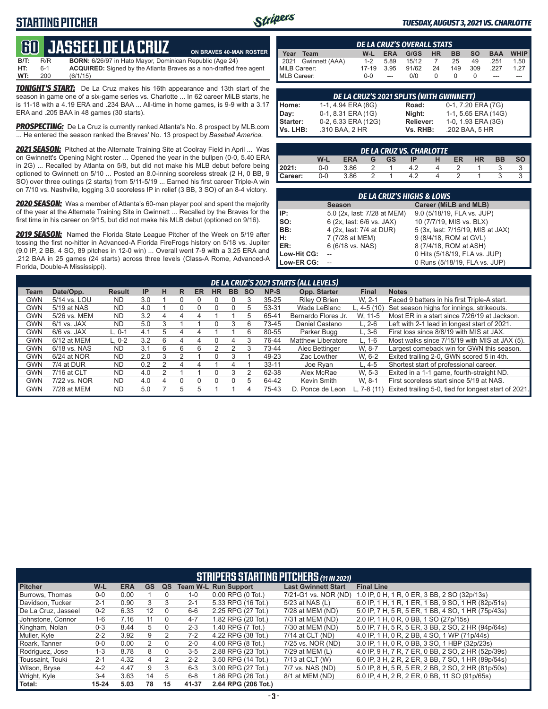### **STARTING PITCHER**



**ON BRAVES 40-MAN ROSTER**

#### *TUESDAY, AUGUST 3, 2021 VS. CHARLOTTE*

## **60****JASSEEL DE LA CRUZ**

**B/T:** R/R **BORN:** 6/26/97 in Hato Mayor, Dominican Republic (Age 24)<br>**HT:** 6-1 **ACQUIRED:** Signed by the Atlanta Braves as a non-drafted fi 6-1 **ACQUIRED:** Signed by the Atlanta Braves as a non-drafted free agent 200 (6/1/15) **WT:** 200 (6/1/15)

*TONIGHT'S START:* De La Cruz makes his 16th appearance and 13th start of the season in game one of a six-game series vs. Charlotte ... In 62 career MiLB starts, he is 11-18 with a 4.19 ERA and .234 BAA ... All-time in home games, is 9-9 with a 3.17 ERA and .205 BAA in 48 games (30 starts).

*PROSPECTING:* De La Cruz is currently ranked Atlanta's No. 8 prospect by MLB.com ... He entered the season ranked the Braves' No. 13 prospect by *Baseball America*.

*2021 SEASON:* Pitched at the Alternate Training Site at Coolray Field in April ... Was on Gwinnett's Opening Night roster ... Opened the year in the bullpen (0-0, 5.40 ERA in 2G) ... Recalled by Atlanta on 5/8, but did not make his MLB debut before being optioned to Gwinnett on 5/10 ... Posted an 8.0-inning scoreless streak (2 H, 0 BB, 9 SO) over three outings (2 starts) from 5/11-5/19 ... Earned his first career Triple-A win on 7/10 vs. Nashville, logging 3.0 scoreless IP in relief (3 BB, 3 SO) of an 8-4 victory.

*2020 SEASON:* Was a member of Atlanta's 60-man player pool and spent the majority of the year at the Alternate Training Site in Gwinnett ... Recalled by the Braves for the first time in his career on 9/15, but did not make his MLB debut (optioned on 9/16).

*2019 SEASON:* Named the Florida State League Pitcher of the Week on 5/19 after tossing the first no-hitter in Advanced-A Florida FireFrogs history on 5/18 vs. Jupiter (9.0 IP, 2 BB, 4 SO, 89 pitches in 12-0 win) ... Overall went 7-9 with a 3.25 ERA and .212 BAA in 25 games (24 starts) across three levels (Class-A Rome, Advanced-A Florida, Double-A Mississippi).

|              | <b>DE LA CRUZ'S OVERALL STATS</b> |         |            |       |           |           |           |            |             |  |  |  |
|--------------|-----------------------------------|---------|------------|-------|-----------|-----------|-----------|------------|-------------|--|--|--|
| Year         | Team                              | W-L     | <b>ERA</b> | G/GS  | <b>HR</b> | <b>BB</b> | <b>SO</b> | <b>BAA</b> | <b>WHIP</b> |  |  |  |
| 2021         | Gwinnett (AAA)                    | $1 - 2$ | 5.89       | 15/12 |           | 25        | 49        | .251       | 1.50        |  |  |  |
| MiLB Career: |                                   | 17-19   | 3.95       | 91/62 | 24        | 149       | 309       | .227       | 1 27        |  |  |  |
| MLB Career:  |                                   | $0 - 0$ | ---        | 0/0   |           |           |           | ---        |             |  |  |  |

|          | DE LA CRUZ'S 2021 SPLITS (WITH GWINNETT) |           |                     |
|----------|------------------------------------------|-----------|---------------------|
| Home:    | 1-1, 4.94 ERA (8G)                       | Road:     | 0-1, 7.20 ERA (7G)  |
| Day:     | 0-1, 8.31 ERA (1G)                       | Night:    | 1-1, 5.65 ERA (14G) |
| Starter: | 0-2, 6.33 ERA (12G)                      | Reliever: | 1-0, 1.93 ERA (3G)  |
| Vs. LHB: | .310 BAA, 2 HR                           | Vs. RHB:  | .202 BAA, 5 HR      |

|         | DE LA CRUZ VŠ. CHARLOTTE : |            |  |           |    |  |    |           |    |  |  |  |
|---------|----------------------------|------------|--|-----------|----|--|----|-----------|----|--|--|--|
|         | W-L                        | <b>ERA</b> |  | <b>GS</b> | ΙP |  | ER | <b>HR</b> | BB |  |  |  |
| 12021:  | 0-0                        | 3.86       |  |           |    |  |    |           |    |  |  |  |
| Career: | 0-0                        | 3.86       |  |           |    |  |    |           |    |  |  |  |

|             | <b>DE LA CRUZ'S HIGHS &amp; LOWS</b> |                                   |  |  |  |  |  |  |  |  |  |
|-------------|--------------------------------------|-----------------------------------|--|--|--|--|--|--|--|--|--|
|             | <b>Season</b>                        | Career (MiLB and MLB)             |  |  |  |  |  |  |  |  |  |
| IP:         | 5.0 (2x, last: 7/28 at MEM)          | 9.0 (5/18/19, FLA vs. JUP)        |  |  |  |  |  |  |  |  |  |
| SO:         | 6 (2x, last: 6/6 vs. JAX)            | 10 (7/7/19, MIS vs. BLX)          |  |  |  |  |  |  |  |  |  |
| BB:         | 4 (2x, last: 7/4 at DUR)             | 5 (3x, last: 7/15/19, MIS at JAX) |  |  |  |  |  |  |  |  |  |
| н:          | 7 (7/28 at MEM)                      | 9 (8/4/18, ROM at GVL)            |  |  |  |  |  |  |  |  |  |
| ER:         | 6 (6/18 vs. NAS)                     | 8 (7/4/18, ROM at ASH)            |  |  |  |  |  |  |  |  |  |
| Low-Hit CG: |                                      | 0 Hits (5/18/19, FLA vs. JUP)     |  |  |  |  |  |  |  |  |  |
| Low-ER CG:  |                                      | 0 Runs (5/18/19, FLA vs. JUP)     |  |  |  |  |  |  |  |  |  |

|      | DE LA CRUZ'S 2021 STARTS (ALL LEVELS) |               |     |   |   |           |    |           |           |           |                     |              |                                                      |
|------|---------------------------------------|---------------|-----|---|---|-----------|----|-----------|-----------|-----------|---------------------|--------------|------------------------------------------------------|
| Team | Date/Opp.                             | <b>Result</b> | IP  | н | R | <b>ER</b> | HR | <b>BB</b> | <b>SO</b> | NP-S      | Opp. Starter        | <b>Final</b> | <b>Notes</b>                                         |
| GWN  | 5/14 vs. LOU                          | <b>ND</b>     | 3.0 |   |   |           |    |           |           | $35 - 25$ | Riley O'Brien       | W. 2-1       | Faced 9 batters in his first Triple-A start.         |
| GWN  | 5/19 at NAS                           | <b>ND</b>     | 4.0 |   |   |           |    |           |           | 53-31     | Wade LeBlanc        | L. $4-5(10)$ | Set season highs for innings, strikeouts.            |
| GWN  | 5/26 vs. MEM                          | <b>ND</b>     | 3.2 | 4 |   | 4         |    |           |           | 65-41     | Bernardo Flores Jr. | W. 11-5      | Most ER in a start since 7/26/19 at Jackson.         |
| GWN  | $6/1$ vs. JAX                         | <b>ND</b>     | 5.0 |   |   |           |    |           | h         | 73-45     | Daniel Castano      | $L. 2-6$     | Left with 2-1 lead in longest start of 2021.         |
| GWN  | $6/6$ vs. JAX                         | $L.0-1$       | 4.1 | 5 |   |           |    |           |           | 80-55     | Parker Bugg         | $L.3-6$      | First loss since 8/8/19 with MIS at JAX.             |
| GWN  | 6/12 at MEM                           | $L. 0-2$      | 3.2 | 6 | 4 | 4         |    | 4         |           | 76-44     | Matthew Liberatore  | $L. 1-6$     | Most walks since 7/15/19 with MIS at JAX (5).        |
| GWN  | 6/18 vs. NAS                          | <b>ND</b>     | 3.1 | 6 | 6 | 6         |    |           |           | 73-44     | Alec Bettinger      | W. 8-7       | Largest comeback win for GWN this season.            |
| GWN  | $6/24$ at NOR                         | <b>ND</b>     | 2.0 | 3 |   |           |    |           |           | 49-23     | Zac Lowther         | W. 6-2       | Exited trailing 2-0, GWN scored 5 in 4th.            |
| GWN  | 7/4 at DUR                            | <b>ND</b>     | 0.2 |   | 4 | 4         |    | 4         |           | $33 - 11$ | Joe Ryan            | $L.4-5$      | Shortest start of professional career.               |
| GWN  | 7/16 at CLT                           | <b>ND</b>     | 4.0 |   |   |           |    |           |           | 62-38     | Alex McRae          | W. 5-3       | Exited in a 1-1 game, fourth-straight ND.            |
| GWN  | 7/22 vs. NOR                          | <b>ND</b>     | 4.0 | 4 |   |           |    |           |           | 64-42     | Kevin Smith         | W. 8-1       | First scoreless start since 5/19 at NAS.             |
| GWN  | 7/28 at MEM                           | <b>ND</b>     | 5.0 |   | 5 |           |    |           |           | 75-43     | D. Ponce de Leon    | L. $7-8(11)$ | Exited trailing 5-0, tied for longest start of 2021. |

|                     | <b>STRIPERS STARTING PITCHERS (11 IN 2021)</b> |            |           |    |         |                             |                            |                                                    |  |  |  |  |
|---------------------|------------------------------------------------|------------|-----------|----|---------|-----------------------------|----------------------------|----------------------------------------------------|--|--|--|--|
| <b>Pitcher</b>      | $W-L$                                          | <b>ERA</b> | <b>GS</b> | QS |         | <b>Team W-L Run Support</b> | <b>Last Gwinnett Start</b> | <b>Final Line</b>                                  |  |  |  |  |
| Burrows, Thomas     | $0-0$                                          | 0.00       |           |    | $1 - 0$ | $0.00$ RPG $(0$ Tot.)       | 7/21-G1 vs. NOR (ND)       | 1.0 IP, 0 H, 1 R, 0 ER, 3 BB, 2 SO (32p/13s)       |  |  |  |  |
| Davidson, Tucker    | $2 - 1$                                        | 0.90       | 3         | 3  | $2 - 1$ | 5.33 RPG (16 Tot.)          | 5/23 at NAS (L)            | 6.0 IP, 1 H, 1 R, 1 ER, 1 BB, 9 SO, 1 HR (82p/51s) |  |  |  |  |
| De La Cruz. Jasseel | $0 - 2$                                        | 6.33       | 12        |    | $6-6$   | 2.25 RPG (27 Tot.)          | 7/28 at MEM (ND)           | 5.0 IP, 7 H, 5 R, 5 ER, 1 BB, 4 SO, 1 HR (75p/43s) |  |  |  |  |
| Johnstone, Connor   | $1 - 6$                                        | 7.16       | 11        |    | $4 - 7$ | 1.82 RPG (20 Tot.)          | 7/31 at MEM (ND)           | 2.0 IP, 1 H, 0 R, 0 BB, 1 SO (27p/15s)             |  |  |  |  |
| Kingham, Nolan      | $0 - 3$                                        | 8.44       | 5         |    | $2 - 3$ | 1.40 RPG (7 Tot.)           | 7/30 at MEM (ND)           | 5.0 IP, 7 H, 5 R, 5 ER, 3 BB, 2 SO, 2 HR (94p/64s) |  |  |  |  |
| Muller, Kyle        | $2 - 2$                                        | 3.92       | 9         |    | $7 - 2$ | 4.22 RPG (38 Tot.)          | 7/14 at CLT (ND)           | 4.0 IP, 1 H, 0 R, 2 BB, 4 SO, 1 WP (71p/44s)       |  |  |  |  |
| Roark, Tanner       | $0-0$                                          | 0.00       | 2         | 0  | $2 - 0$ | 4.00 RPG (8 Tot.)           | 7/25 vs. NOR (ND)          | 3.0 IP, 1 H, 0 R, 0 BB, 3 SO, 1 HBP (32p/23s)      |  |  |  |  |
| Rodriguez, Jose     | $1 - 3$                                        | 8.78       | 8         | 0  | $3-5$   | 2.88 RPG (23 Tot.)          | 7/29 at MEM (L)            | 4.0 IP, 9 H, 7 R, 7 ER, 0 BB, 2 SO, 2 HR (52p/39s) |  |  |  |  |
| Toussaint, Touki    | $2 - 1$                                        | 4.32       | 4         | 2  | $2 - 2$ | 3.50 RPG (14 Tot.)          | 7/13 at CLT (W)            | 6.0 IP, 3 H, 2 R, 2 ER, 3 BB, 7 SO, 1 HR (89p/54s) |  |  |  |  |
| Wilson, Bryse       | $4 - 2$                                        | 4.47       | 9         | 3  | $6 - 3$ | 3.00 RPG (27 Tot.)          | 7/7 vs. NAS (ND)           | 5.0 IP, 8 H, 5 R, 5 ER, 2 BB, 2 SO, 2 HR (81p/50s) |  |  |  |  |
| Wright, Kyle        | $3 - 4$                                        | 3.63       | 14        | 5  | $6 - 8$ | 1.86 RPG (26 Tot.)          | 8/1 at MEM (ND)            | 6.0 IP, 4 H, 2 R, 2 ER, 0 BB, 11 SO (91p/65s)      |  |  |  |  |
| Total:              | $15 - 24$                                      | 5.03       | 78        | 15 | 41-37   | 2.64 RPG (206 Tot.)         |                            |                                                    |  |  |  |  |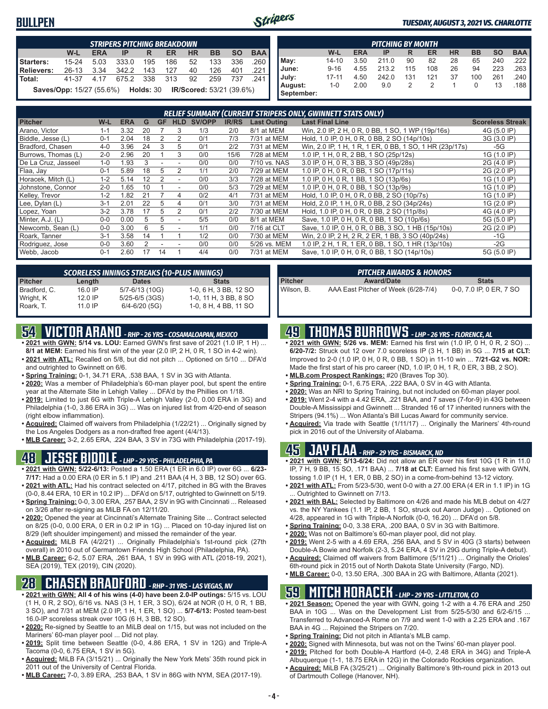### **BULLPEN**



#### *TUESDAY, AUGUST 3, 2021 VS. CHARLOTTE*

|                   | <b>STRIPERS PITCHING BREAKDOWN</b>                                        |            |           |     |           |           |           |           |            |  |  |  |
|-------------------|---------------------------------------------------------------------------|------------|-----------|-----|-----------|-----------|-----------|-----------|------------|--|--|--|
|                   | W-L                                                                       | <b>ERA</b> | IP        | R   | <b>ER</b> | <b>HR</b> | <b>BB</b> | <b>SO</b> | <b>BAA</b> |  |  |  |
| Starters:         | $15 - 24$                                                                 | 5.03       | 333.0     | 195 | 186       | 52        | 133       | 336       | .260       |  |  |  |
| <b>Relievers:</b> | $26 - 13$                                                                 | 3.34       | 342.2     | 143 | 127       | 40        | 126       | 401       | .221       |  |  |  |
| Total:            | 41-37 4.17                                                                |            | 675.2 338 |     | 313       | 92        | 259       | 737       | -241       |  |  |  |
|                   | <b>Saves/Opp:</b> 15/27 (55.6%) <b>Holds: 30 IR/Scored: 53/21 (39.6%)</b> |            |           |     |           |           |           |           |            |  |  |  |

|                       | <b>PITCHING BY MONTH</b> |            |       |     |     |           |           |           |            |  |  |  |  |
|-----------------------|--------------------------|------------|-------|-----|-----|-----------|-----------|-----------|------------|--|--|--|--|
|                       | W-L                      | <b>ERA</b> | IP    | R   | ER  | <b>HR</b> | <b>BB</b> | <b>SO</b> | <b>BAA</b> |  |  |  |  |
| May:                  | 14-10                    | 3.50       | 211.0 | 90  | 82  | 28        | 65        | 240       | .222       |  |  |  |  |
| June:                 | $9 - 16$                 | 4.55       | 213.2 | 115 | 108 | 26        | 94        | 223       | 263        |  |  |  |  |
| July:                 | $17 - 11$                | 4.50       | 242.0 | 131 | 121 | 37        | 100       | 261       | .240       |  |  |  |  |
| August:<br>September: | 1-0                      | 2.00       | 9.0   | 2   | 2   |           | 0         | 13        | .188       |  |  |  |  |

| RELIEF SUMMARY (CURRENT STRIPERS ONLY, GWINNETT STATS ONLY) |         |            |    |           |                          |               |              |                    |                                                         |                         |  |  |
|-------------------------------------------------------------|---------|------------|----|-----------|--------------------------|---------------|--------------|--------------------|---------------------------------------------------------|-------------------------|--|--|
| <b>Pitcher</b>                                              | W-L     | <b>ERA</b> | G  | <b>GF</b> | <b>HLD</b>               | <b>SV/OPP</b> | <b>IR/RS</b> | <b>Last Outing</b> | <b>Last Final Line</b>                                  | <b>Scoreless Streak</b> |  |  |
| Arano, Victor                                               | $1 - 1$ | 3.32       | 20 |           | 3                        | 1/3           | 2/0          | 8/1 at MEM         | Win, 2.0 IP, 2 H, 0 R, 0 BB, 1 SO, 1 WP (19p/16s)       | 4G (5.0 IP)             |  |  |
| Biddle, Jesse (L)                                           | $0 - 1$ | 2.04       | 18 | 2         |                          | 0/1           | 7/3          | 7/31 at MEM        | Hold, 1.0 IP, 0 H, 0 R, 0 BB, 2 SO (14p/10s)            | 3G (3.0 IP)             |  |  |
| Bradford, Chasen                                            | $4 - 0$ | 3.96       | 24 | 3         | 5                        | 0/1           | 2/2          | 7/31 at MEM        | Win, 2.0 IP, 1 H, 1 R, 1 ER, 0 BB, 1 SO, 1 HR (23p/17s) | -5G                     |  |  |
| Burrows, Thomas (L)                                         | $2 - 0$ | 2.96       | 20 |           | 3                        | 0/0           | 15/6         | 7/28 at MEM        | 1.0 IP, 1 H, 0 R, 2 BB, 1 SO (25p/12s)                  | 1G (1.0 IP)             |  |  |
| De La Cruz, Jasseel                                         | $1 - 0$ | 1.93       | 3  |           |                          | 0/0           | 0/0          | 7/10 vs. NAS       | 3.0 IP, 0 H, 0 R, 3 BB, 3 SO (49p/28s)                  | 2G (4.0 IP)             |  |  |
| Flaa, Jav                                                   | $0 - 1$ | 5.89       | 18 | 5         | 2                        | 1/1           | 2/0          | 7/29 at MEM        | 1.0 IP, 0 H, 0 R, 0 BB, 1 SO (17p/11s)                  | 2G (2.0 IP)             |  |  |
| Horacek, Mitch (L)                                          | $1 - 2$ | 5.14       | 12 |           | ۰                        | 0/0           | 3/3          | 7/28 at MEM        | 1.0 IP, 0 H, 0 R, 1 BB, 1 SO (13p/6s)                   | 1G (1.0 IP)             |  |  |
| Johnstone, Connor                                           | $2 - 0$ | .65        | 10 |           | ۰                        | 0/0           | 5/3          | 7/29 at MEM        | 1.0 IP, 0 H, 0 R, 0 BB, 1 SO (13p/9s)                   | 1G (1.0 IP)             |  |  |
| Kelley, Trevor                                              | $1 - 2$ | 1.82       | 21 |           | 4                        | 0/2           | 4/1          | 7/31 at MEM        | Hold, 1.0 IP, 0 H, 0 R, 0 BB, 2 SO (10p/7s)             | 1G (1.0 IP)             |  |  |
| Lee, Dylan (L)                                              | $3 - 1$ | 2.01       | 22 | 5         | 4                        | 0/1           | 3/0          | 7/31 at MEM        | Hold, 2.0 IP, 1 H, 0 R, 0 BB, 2 SO (34p/24s)            | 1G (2.0 IP)             |  |  |
| Lopez, Yoan                                                 | $3-2$   | 3.78       |    | 5.        | 2                        | 0/1           | 2/2          | 7/30 at MEM        | Hold, 1.0 IP, 0 H, 0 R, 0 BB, 2 SO (11p/8s)             | 4G (4.0 IP)             |  |  |
| Minter, A.J. (L)                                            | $0 - 0$ | 0.00       | 5  | 5.        | $\overline{\phantom{a}}$ | 5/5           | 0/0          | 8/1 at MEM         | Save, 1.0 IP, 0 H, 0 R, 0 BB, 1 SO (10p/6s)             | 5G (5.0 IP)             |  |  |
| Newcomb, Sean (L)                                           | $0 - 0$ | 3.00       | ĥ  | 5         |                          | 1/1           | 0/0          | 7/16 at CLT        | Save, 1.0 IP, 0 H, 0 R, 0 BB, 3 SO, 1 HB (15p/10s)      | 2G (2.0 IP)             |  |  |
| Roark, Tanner                                               | $3 - 1$ | 3.58       | 14 |           |                          | 1/2           | 0/0          | 7/30 at MEM        | Win, 2.0 IP, 2 H, 2 R, 2 ER, 1 BB, 3 SO (40p/24s)       | -1G                     |  |  |
| Rodriguez, Jose                                             | ი-ი     | 3.60       |    |           |                          | 0/0           | 0/0          | 5/26 vs. MEM       | 1.0 IP, 2 H, 1 R, 1 ER, 0 BB, 1 SO, 1 HR (13p/10s)      | -2G                     |  |  |
| Webb, Jacob                                                 | $0 - 1$ | 2.60       |    | 14        |                          | 4/4           | 0/0          | 7/31 at MEM        | Save, 1.0 IP, 0 H, 0 R, 0 BB, 1 SO (14p/10s)            | 5G (5.0 IP)             |  |  |

| <b>SCORELESS INNINGS STREAKS (10-PLUS INNINGS)</b> |         |                   |                       |  |
|----------------------------------------------------|---------|-------------------|-----------------------|--|
| <b>Pitcher</b>                                     | Length  | <b>Dates</b>      | <b>Stats</b>          |  |
| Bradford, C.                                       | 16.0 IP | 5/7-6/13 (10G)    | 1-0, 6 H, 3 BB, 12 SO |  |
| Wright, K                                          | 12.0 IP | 5/25-6/5 (3GS)    | 1-0, 11 H, 3 BB, 8 SO |  |
| Roark, T.                                          | 11.0 IP | $6/4 - 6/20$ (5G) | 1-0, 8 H, 4 BB, 11 SO |  |

## **54 VICTOR ARANO** *- RHP - 26 YRS - COSAMALOAPAN, MEXICO*

- **• 2021 with GWN: 5/14 vs. LOU:** Earned GWN's first save of 2021 (1.0 IP, 1 H) ... **8/1 at MEM:** Earned his first win of the year (2.0 IP, 2 H, 0 R, 1 SO in 4-2 win).
- **• 2021 with ATL:** Recalled on 5/8, but did not pitch ... Optioned on 5/10 ... DFA'd and outrighted to Gwinnett on 6/6.
- **• Spring Training:** 0-1, 34.71 ERA, .538 BAA, 1 SV in 3G with Atlanta.
- **• 2020:** Was a member of Philadelphia's 60-man player pool, but spent the entire year at the Alternate Site in Lehigh Valley ... DFA'd by the Phillies on 1/18.
- **• 2019:** Limited to just 6G with Triple-A Lehigh Valley (2-0, 0.00 ERA in 3G) and Philadelphia (1-0, 3.86 ERA in 3G) ... Was on injured list from 4/20-end of season (right elbow inflammation).
- **• Acquired:** Claimed off waivers from Philadelphia (1/22/21) ... Originally signed by the Los Angeles Dodgers as a non-drafted free agent (4/4/13).

**• MLB Career:** 3-2, 2.65 ERA, .224 BAA, 3 SV in 73G with Philadelphia (2017-19).

### **48 JESSE BIDDLE** *- LHP - 29 YRS - PHILADELPHIA, PA*

- **• 2021 with GWN: 5/22-6/13:** Posted a 1.50 ERA (1 ER in 6.0 IP) over 6G ... **6/23- 7/17:** Had a 0.00 ERA (0 ER in 5.1 IP) and .211 BAA (4 H, 3 BB, 12 SO) over 6G.
- **• 2021 with ATL:** Had his contract selected on 4/17, pitched in 8G with the Braves (0-0, 8.44 ERA, 10 ER in 10.2 IP) ... DFA'd on 5/17, outrighted to Gwinnett on 5/19. **• Spring Training:** 0-0, 3.00 ERA, .257 BAA, 2 SV in 9G with Cincinnati ... Released
- on 3/26 after re-signing as MiLB FA on 12/11/20. **• 2020:** Opened the year at Cincinnati's Alternate Training Site ... Contract selected
- on 8/25 (0-0, 0.00 ERA, 0 ER in 0.2 IP in 1G) ... Placed on 10-day injured list on 8/29 (left shoulder impingement) and missed the remainder of the year.
- **• Acquired:** MiLB FA (4/2/21) ... Originally Philadelphia's 1st-round pick (27th overall) in 2010 out of Germantown Friends High School (Philadelphia, PA).
- **• MLB Career:** 6-2, 5.07 ERA, .261 BAA, 1 SV in 99G with ATL (2018-19, 2021), SEA (2019), TEX (2019), CIN (2020).

### **28 CHASEN BRADFORD** *- RHP - 31 YRS - LAS VEGAS, NV*

- **• 2021 with GWN: All 4 of his wins (4-0) have been 2.0-IP outings:** 5/15 vs. LOU (1 H, 0 R, 2 SO), 6/16 vs. NAS (3 H, 1 ER, 3 SO), 6/24 at NOR (0 H, 0 R, 1 BB, 3 SO), and 7/31 at MEM (2.0 IP, 1 H, 1 ER, 1 SO) ... **5/7-6/13:** Posted team-best 16.0-IP scoreless streak over 10G (6 H, 3 BB, 12 SO).
- **• 2020:** Re-signed by Seattle to an MiLB deal on 1/15, but was not included on the Mariners' 60-man player pool ... Did not play.
- **• 2019:** Split time between Seattle (0-0, 4.86 ERA, 1 SV in 12G) and Triple-A Tacoma (0-0, 6.75 ERA, 1 SV in 5G).
- **• Acquired:** MiLB FA (3/15/21) ... Originally the New York Mets' 35th round pick in 2011 out of the University of Central Florida.
- **• MLB Career:** 7-0, 3.89 ERA, .253 BAA, 1 SV in 86G with NYM, SEA (2017-19).

| <b>PITCHER AWARDS &amp; HONORS</b> |                                     |                         |  |  |  |
|------------------------------------|-------------------------------------|-------------------------|--|--|--|
| <b>Pitcher</b>                     | <b>Award/Date</b>                   | <b>Stats</b>            |  |  |  |
| Wilson. B.                         | AAA East Pitcher of Week (6/28-7/4) | 0-0, 7.0 IP, 0 ER, 7 SO |  |  |  |

## **49 THOMAS BURROWS** *- LHP - 26 YRS - FLORENCE, AL*

- **• 2021 with GWN: 5/26 vs. MEM:** Earned his first win (1.0 IP, 0 H, 0 R, 2 SO) ... **6/20-7/2:** Struck out 12 over 7.0 scoreless IP (3 H, 1 BB) in 5G ... **7/15 at CLT:** Improved to 2-0 (1.0 IP, 0 H, 0 R, 0 BB, 1 SO) in 11-10 win ... **7/21-G2 vs. NOR:** Made the first start of his pro career (ND, 1.0 IP, 0 H, 1 R, 0 ER, 3 BB, 2 SO).
- **• MLB.com Prospect Rankings:** #20 (Braves Top 30).
- **• Spring Training:** 0-1, 6.75 ERA, .222 BAA, 0 SV in 4G with Atlanta.
- **• 2020:** Was an NRI to Spring Training, but not included on 60-man player pool. **• 2019:** Went 2-4 with a 4.42 ERA, .221 BAA, and 7 saves (7-for-9) in 43G between
- Double-A Mississippi and Gwinnett ... Stranded 16 of 17 inherited runners with the Stripers (94.1%) ... Won Atlanta's Bill Lucas Award for community service.
- **• Acquired:** Via trade with Seattle (1/11/17) ... Originally the Mariners' 4th-round pick in 2016 out of the University of Alabama.

### **45 JAY FLAA** *- RHP - 29 YRS - BISMARCK, ND*

- **• 2021 with GWN: 5/13-6/24:** Did not allow an ER over his first 10G (1 R in 11.0 IP, 7 H, 9 BB, 15 SO, .171 BAA) ... **7/18 at CLT:** Earned his first save with GWN, tossing 1.0 IP (1 H, 1 ER, 0 BB, 2 SO) in a come-from-behind 13-12 victory.
- **• 2021 with ATL:** From 5/23-5/30, went 0-0 with a 27.00 ERA (4 ER in 1.1 IP) in 1G ... Outrighted to Gwinnett on 7/13.
- **• 2021 with BAL:** Selected by Baltimore on 4/26 and made his MLB debut on 4/27 vs. the NY Yankees (1.1 IP, 2 BB, 1 SO, struck out Aaron Judge) ... Optioned on 4/28, appeared in 1G with Triple-A Norfolk (0-0, 16.20) ... DFA'd on 5/8.
- **• Spring Training:** 0-0, 3.38 ERA, .200 BAA, 0 SV in 3G with Baltimore.
- **• 2020:** Was not on Baltimore's 60-man player pool, did not play.
- **• 2019:** Went 2-5 with a 4.69 ERA, .256 BAA, and 5 SV in 40G (3 starts) between Double-A Bowie and Norfolk (2-3, 5.24 ERA, 4 SV in 29G during Triple-A debut).
- **• Acquired:** Claimed off waivers from Baltimore (5/11/21) ... Originally the Orioles' 6th-round pick in 2015 out of North Dakota State University (Fargo, ND).
- **• MLB Career:** 0-0, 13.50 ERA, .300 BAA in 2G with Baltimore, Atlanta (2021).

## **59 MITCH HORACEK** *- LHP - 29 YRS - LITTLETON, CO*

- **• 2021 Season:** Opened the year with GWN, going 1-2 with a 4.76 ERA and .250 BAA in 10G ... Was on the Development List from 5/25-5/30 and 6/2-6/15 ... Transferred to Advanced-A Rome on 7/9 and went 1-0 with a 2.25 ERA and .167 BAA in 4G ... Rejoined the Stripers on 7/20.
- **• Spring Training:** Did not pitch in Atlanta's MLB camp.
- **• 2020:** Signed with Minnesota, but was not on the Twins' 60-man player pool.
- **• 2019:** Pitched for both Double-A Hartford (4-0, 2.48 ERA in 34G) and Triple-A Albuquerque (1-1, 18.75 ERA in 12G) in the Colorado Rockies organization.
- **• Acquired:** MiLB FA (3/25/21) ... Originally Baltimore's 9th-round pick in 2013 out of Dartmouth College (Hanover, NH).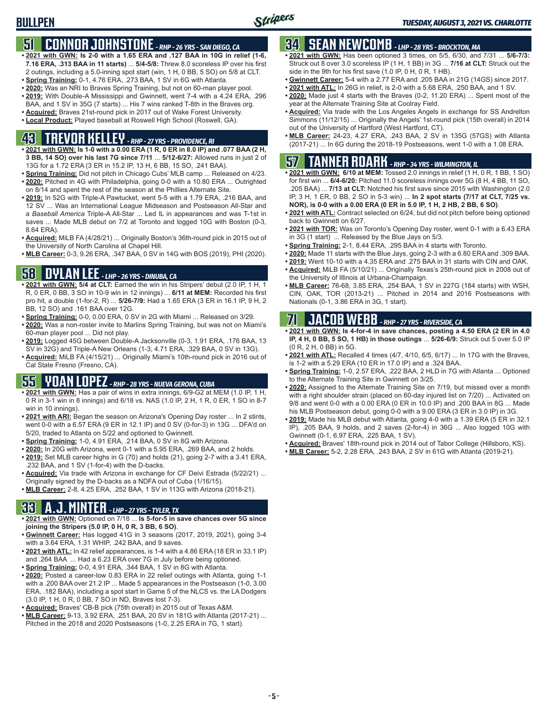## **51 CONNOR JOHNSTONE** *- RHP - 26 YRS - SAN DIEGO, CA*

- **• 2021 with GWN: Is 2-0 with a 1.65 ERA and .127 BAA in 10G in relief (1-6, 7.16 ERA, .313 BAA in 11 starts)** ... **5/4-5/8:** Threw 8.0 scoreless IP over his first 2 outings, including a 5.0-inning spot start (win, 1 H, 0 BB, 5 SO) on 5/8 at CLT.
- **• Spring Training:** 0-1, 4.76 ERA, .273 BAA, 1 SV in 6G with Atlanta.
- **• 2020:** Was an NRI to Braves Spring Training, but not on 60-man player pool. **• 2019:** With Double-A Mississippi and Gwinnett, went 7-4 with a 4.24 ERA, .296
- BAA, and 1 SV in 35G (7 starts) ... His 7 wins ranked T-8th in the Braves org.
- **• Acquired:** Braves 21st-round pick in 2017 out of Wake Forest University.
- **• Local Product:** Played baseball at Roswell High School (Roswell, GA).

## **43 TREVOR KELLEY** *- RHP - 27 YRS - PROVIDENCE, RI*

- **• 2021 with GWN: Is 1-0 with a 0.00 ERA (1 R, 0 ER in 8.0 IP) and .077 BAA (2 H, 3 BB, 14 SO) over his last 7G since 7/11** ... **5/12-6/27:** Allowed runs in just 2 of 13G for a 1.72 ERA (3 ER in 15.2 IP, 13 H, 6 BB, 15 SO, .241 BAA).
- **• Spring Training:** Did not pitch in Chicago Cubs' MLB camp ... Released on 4/23. **• 2020:** Pitched in 4G with Philadelphia, going 0-0 with a 10.80 ERA ... Outrighted on 8/14 and spent the rest of the season at the Phillies Alternate Site.
- **• 2019:** In 52G with Triple-A Pawtucket, went 5-5 with a 1.79 ERA, .216 BAA, and 12 SV ... Was an International League Midseason and Postseason All-Star and a *Baseball America* Triple-A All-Star ... Led IL in appearances and was T-1st in saves ... Made MLB debut on 7/2 at Toronto and logged 10G with Boston (0-3, 8.64 ERA).
- **• Acquired:** MiLB FA (4/28/21) ... Originally Boston's 36th-round pick in 2015 out of the University of North Carolina at Chapel Hill.
- **• MLB Career:** 0-3, 9.26 ERA, .347 BAA, 0 SV in 14G with BOS (2019), PHI (2020).

### **58 DYLAN LEE** *- LHP - 26 YRS - DINUBA, CA*

- **• 2021 with GWN: 5/4 at CLT:** Earned the win in his Stripers' debut (2.0 IP, 1 H, 1 R, 0 ER, 0 BB, 3 SO in 10-9 win in 12 innings) ... **6/11 at MEM:** Recorded his first pro hit, a double (1-for-2, R) ... **5/26-7/9:** Had a 1.65 ERA (3 ER in 16.1 IP, 9 H, 2 BB, 12 SO) and .161 BAA over 12G.
- **• Spring Training:** 0-0, 0.00 ERA, 0 SV in 2G with Miami ... Released on 3/29.
- **• 2020:** Was a non-roster invite to Marlins Spring Training, but was not on Miami's 60-man player pool ... Did not play.
- **• 2019:** Logged 45G between Double-A Jacksonville (0-3, 1.91 ERA, .176 BAA, 13 SV in 32G) and Triple-A New Orleans (1-3, 4.71 ERA, .329 BAA, 0 SV in 13G).
- **• Acquired:** MiLB FA (4/15/21) ... Originally Miami's 10th-round pick in 2016 out of Cal State Fresno (Fresno, CA).

## **55 YOAN LOPEZ** *- RHP - 28 YRS - NUEVA GERONA, CUBA*

- **• 2021 with GWN:** Has a pair of wins in extra innings, 6/9-G2 at MEM (1.0 IP, 1 H, 0 R in 3-1 win in 8 innings) and 6/18 vs. NAS (1.0 IP, 2 H, 1 R, 0 ER, 1 SO in 8-7 win in 10 innings).
- **• 2021 with ARI:** Began the season on Arizona's Opening Day roster ... In 2 stints, went 0-0 with a 6.57 ERA (9 ER in 12.1 IP) and 0 SV (0-for-3) in 13G ... DFA'd on 5/20, traded to Atlanta on 5/22 and optioned to Gwinnett.
- **• Spring Training:** 1-0, 4.91 ERA, .214 BAA, 0 SV in 8G with Arizona.
- **• 2020:** In 20G with Arizona, went 0-1 with a 5.95 ERA, .269 BAA, and 2 holds.
- **• 2019:** Set MLB career highs in G (70) and holds (21), going 2-7 with a 3.41 ERA, .232 BAA, and 1 SV (1-for-4) with the D-backs.
- **• Acquired:** Via trade with Arizona in exchange for CF Deivi Estrada (5/22/21) ... Originally signed by the D-backs as a NDFA out of Cuba (1/16/15).
- **• MLB Career:** 2-8, 4.25 ERA, .252 BAA, 1 SV in 113G with Arizona (2018-21).

### **33 A.J. MINTER** *- LHP - 27 YRS - TYLER, TX*

- **• 2021 with GWN:** Optioned on 7/18 ... **Is 5-for-5 in save chances over 5G since joining the Stripers (5.0 IP, 0 H, 0 R, 3 BB, 6 SO)**.
- **• Gwinnett Career:** Has logged 41G in 3 seasons (2017, 2019, 2021), going 3-4 with a 3.64 ERA, 1.31 WHIP, .242 BAA, and 9 saves.
- **• 2021 with ATL:** In 42 relief appearances, is 1-4 with a 4.86 ERA (18 ER in 33.1 IP) and .264 BAA ... Had a 6.23 ERA over 7G in July before being optioned.
- **• Spring Training:** 0-0, 4.91 ERA, .344 BAA, 1 SV in 8G with Atlanta.
- **• 2020:** Posted a career-low 0.83 ERA in 22 relief outings with Atlanta, going 1-1 with a .200 BAA over 21.2 IP ... Made 5 appearances in the Postseason (1-0, 3.00 ERA, .182 BAA), including a spot start in Game 5 of the NLCS vs. the LA Dodgers (3.0 IP, 1 H, 0 R, 0 BB, 7 SO in ND, Braves lost 7-3).
- **• Acquired:** Braves' CB-B pick (75th overall) in 2015 out of Texas A&M.
- **• MLB Career:** 9-13, 3.92 ERA, .251 BAA, 20 SV in 181G with Atlanta (2017-21) ... Pitched in the 2018 and 2020 Postseasons (1-0, 2.25 ERA in 7G, 1 start).

## **34 SEAN NEWCOMB** *- LHP - 28 YRS - BROCKTON, MA*

- **• 2021 with GWN:** Has been optioned 3 times, on 5/5, 6/30, and 7/31 ... **5/6-7/3:** Struck out 8 over 3.0 scoreless IP (1 H, 1 BB) in 3G ... **7/16 at CLT:** Struck out the side in the 9th for his first save (1.0 IP, 0 H, 0 R, 1 HB).
- **• Gwinnett Career:** 5-4 with a 2.77 ERA and .205 BAA in 21G (14GS) since 2017.
- **• 2021 with ATL:** In 26G in relief, is 2-0 with a 5.68 ERA, .250 BAA, and 1 SV.
- **• 2020:** Made just 4 starts with the Braves (0-2, 11.20 ERA) ... Spent most of the year at the Alternate Training Site at Coolray Field.
- **• Acquired:** Via trade with the Los Angeles Angels in exchange for SS Andrelton Simmons (11/12/15) ... Originally the Angels' 1st-round pick (15th overall) in 2014 out of the University of Hartford (West Hartford, CT).
- **• MLB Career:** 24-23, 4.27 ERA, .243 BAA, 2 SV in 135G (57GS) with Atlanta (2017-21) ... In 6G during the 2018-19 Postseasons, went 1-0 with a 1.08 ERA.

## **57 TANNER ROARK** *- RHP - 34 YRS - WILMINGTON, IL*

- **• 2021 with GWN: 6/10 at MEM:** Tossed 2.0 innings in relief (1 H, 0 R, 1 BB, 1 SO) for first win ... **6/4-6/20:** Pitched 11.0 scoreless innings over 5G (8 H, 4 BB, 11 SO, .205 BAA) ... **7/13 at CLT:** Notched his first save since 2015 with Washington (2.0 IP, 3 H, 1 ER, 0 BB, 2 SO in 5-3 win) ... **In 2 spot starts (7/17 at CLT, 7/25 vs. NOR), is 0-0 with a 0.00 ERA (0 ER in 5.0 IP, 1 H, 2 HB, 2 BB, 6 SO)**.
- **• 2021 with ATL:** Contract selected on 6/24, but did not pitch before being optioned back to Gwinnett on 6/27.
- **• 2021 with TOR:** Was on Toronto's Opening Day roster, went 0-1 with a 6.43 ERA in 3G (1 start) ... Released by the Blue Jays on 5/3.
- **• Spring Training:** 2-1, 8.44 ERA, .295 BAA in 4 starts with Toronto.
- **• 2020:** Made 11 starts with the Blue Jays, going 2-3 with a 6.80 ERA and .309 BAA.
- **• 2019:** Went 10-10 with a 4.35 ERA and .275 BAA in 31 starts with CIN and OAK.
- **• Acquired:** MiLB FA (5/10/21) ... Originally Texas's 25th-round pick in 2008 out of the University of Illinois at Urbana-Champaign.
- **• MLB Career:** 76-68, 3.85 ERA, .254 BAA, 1 SV in 227G (184 starts) with WSH, CIN, OAK, TOR (2013-21) ... Pitched in 2014 and 2016 Postseasons with Nationals (0-1, 3.86 ERA in 3G, 1 start).

## **71 JACOB WEBB** *- RHP - 27 YRS - RIVERSIDE, CA*

- **• 2021 with GWN: Is 4-for-4 in save chances, posting a 4.50 ERA (2 ER in 4.0 IP, 4 H, 0 BB, 5 SO, 1 HB) in those outings** ... **5/26-6/9:** Struck out 5 over 5.0 IP (0 R, 2 H, 0 BB) in 5G.
- **• 2021 with ATL:** Recalled 4 times (4/7, 4/10, 6/5, 6/17) ... In 17G with the Braves, is 1-2 with a 5.29 ERA (10 ER in 17.0 IP) and a .324 BAA.
- **• Spring Training:** 1-0, 2.57 ERA, .222 BAA, 2 HLD in 7G with Atlanta ... Optioned to the Alternate Training Site in Gwinnett on 3/25.
- **• 2020:** Assigned to the Alternate Training Site on 7/19, but missed over a month with a right shoulder strain (placed on 60-day injured list on 7/20) ... Activated on 9/8 and went 0-0 with a 0.00 ERA (0 ER in 10.0 IP) and .200 BAA in 8G ... Made his MLB Postseason debut, going 0-0 with a 9.00 ERA (3 ER in 3.0 IP) in 3G.
- **• 2019:** Made his MLB debut with Atlanta, going 4-0 with a 1.39 ERA (5 ER in 32.1 IP), .205 BAA, 9 holds, and 2 saves (2-for-4) in 36G ... Also logged 10G with Gwinnett (0-1, 6.97 ERA, .225 BAA, 1 SV).
- **• Acquired:** Braves' 18th-round pick in 2014 out of Tabor College (Hillsboro, KS).
- **• MLB Career:** 5-2, 2.28 ERA, .243 BAA, 2 SV in 61G with Atlanta (2019-21).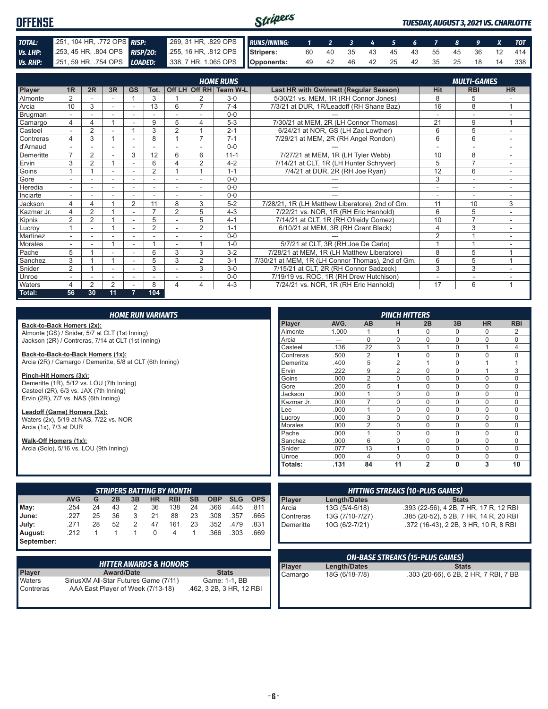#### Stripers **OFFENSE** *TUESDAY, AUGUST 3, 2021 VS. CHARLOTTE TOTAL:* .251, 104 HR, .772 OPS *RISP:* .269, 31 HR, .829 OPS *RUNS/INNING: 1 2 3 4 5 6 7 8 9 X TOT Vs. LHP:* .253, 45 HR, .804 OPS *RISP/2O:* .255, 16 HR, .812 OPS **Stripers:** 60 40 35 43 45 43 55 45 36 12 414 *Vs. RHP:* .251, 59 HR, .754 OPS *LOADED:* .338, 7 HR, 1.065 OPS **Opponents:** 49 42 46 42 25 42 35 25 18 14 338

|            |                          |                |    |                |                          |                          |                          | <b>HOME RUNS</b>       |                                                   |                          | <b>MULTI-GAMES</b>       |                         |
|------------|--------------------------|----------------|----|----------------|--------------------------|--------------------------|--------------------------|------------------------|---------------------------------------------------|--------------------------|--------------------------|-------------------------|
| Player     | 1 <sub>R</sub>           | 2R             | 3R | <b>GS</b>      | Tot.                     |                          |                          | Off LH Off RH Team W-L | <b>Last HR with Gwinnett (Regular Season)</b>     | <b>Hit</b>               | <b>RBI</b>               | <b>HR</b>               |
| Almonte    | $\overline{2}$           |                |    |                | 3                        |                          | 2                        | $3-0$                  | 5/30/21 vs. MEM, 1R (RH Connor Jones)             | 8                        | 5                        |                         |
| Arcia      | 10                       | 3              | ٠  | ۰              | 13                       | 6                        | $\overline{ }$           | $7 - 4$                | 7/3/21 at DUR, 1R/Leadoff (RH Shane Baz)          | 16                       | 8                        |                         |
| Brugman    |                          |                |    |                |                          |                          |                          | $0 - 0$                |                                                   |                          |                          |                         |
| Camargo    | 4                        | 4              |    |                | 9                        | 5                        | 4                        | $5 - 3$                | 7/30/21 at MEM, 2R (LH Connor Thomas)             | 21                       | 9                        | $\overline{ }$          |
| Casteel    | $\overline{\phantom{a}}$ | $\overline{2}$ | ۰  |                | 3                        | $\overline{2}$           |                          | $2 - 1$                | 6/24/21 at NOR, GS (LH Zac Lowther)               | 6                        | 5                        | ۰                       |
| Contreras  | 4                        | 3              |    |                | 8                        |                          | $\overline{ }$           | $7 - 1$                | 7/29/21 at MEM, 2R (RH Angel Rondon)              | 6                        | 6                        |                         |
| d'Arnaud   |                          |                | ٠  |                |                          |                          |                          | $0 - 0$                |                                                   |                          | $\overline{\phantom{a}}$ |                         |
| Demeritte  | $\overline{7}$           | $\overline{2}$ |    | 3              | 12                       | 6                        | 6                        | $11 - 1$               | 7/27/21 at MEM, 1R (LH Tyler Webb)                | 10                       | 8                        | ۰.                      |
| Ervin      | 3                        | $\overline{2}$ |    |                | 6                        |                          | $\overline{2}$           | $4 - 2$                | 7/14/21 at CLT, 1R (LH Hunter Schryver)           | 5                        | $\overline{7}$           |                         |
| Goins      |                          |                | ٠  |                | $\overline{2}$           |                          |                          | $1 - 1$                | 7/4/21 at DUR, 2R (RH Joe Ryan)                   | 12                       | 6                        | $\sim$                  |
| Gore       |                          |                | ۰  | ۰              | ٠                        | $\overline{\phantom{a}}$ | $\overline{\phantom{a}}$ | $0-0$                  | $---$                                             | 3                        | $\overline{\phantom{a}}$ | $\sim$                  |
| Heredia    |                          |                |    |                |                          |                          |                          | $0 - 0$                | ---                                               | $\overline{\phantom{a}}$ | ٠                        |                         |
| Inciarte   |                          |                |    |                |                          |                          |                          | $0 - 0$                |                                                   | ٠                        | $\overline{\phantom{a}}$ |                         |
| Jackson    | 4                        | 4              |    | $\overline{2}$ | 11                       | 8                        | 3                        | $5 - 2$                | 7/28/21, 1R (LH Matthew Liberatore), 2nd of Gm.   | 11                       | 10                       | 3                       |
| Kazmar Jr. | 4                        | $\overline{2}$ |    |                | $\overline{\phantom{a}}$ | $\overline{2}$           | 5                        | $4 - 3$                | 7/22/21 vs. NOR, 1R (RH Eric Hanhold)             | 6                        | 5                        |                         |
| Kipnis     | $\overline{2}$           | $\overline{2}$ |    |                | 5                        |                          | 5                        | $4 - 1$                | 7/14/21 at CLT, 1R (RH Ofreidy Gomez)             | 10                       | $\overline{7}$           | ٠.                      |
| Lucrov     |                          |                |    | ۰              | $\overline{2}$           |                          | $\overline{2}$           | $1 - 1$                | 6/10/21 at MEM, 3R (RH Grant Black)               | 4                        | 3                        | ۰                       |
| Martinez   |                          |                |    |                |                          | $\overline{\phantom{a}}$ |                          | $0 - 0$                |                                                   | $\overline{2}$           |                          |                         |
| Morales    |                          |                |    |                |                          |                          |                          | $1 - 0$                | 5/7/21 at CLT, 3R (RH Joe De Carlo)               |                          |                          |                         |
| Pache      | 5                        |                |    |                | 6                        | 3                        | 3                        | $3 - 2$                | 7/28/21 at MEM, 1R (LH Matthew Liberatore)        | 8                        | 5                        | $\overline{ }$          |
| Sanchez    | 3                        |                |    |                | 5                        | 3                        | 2                        | $3 - 1$                | 7/30/21 at MEM, 1R (LH Connor Thomas), 2nd of Gm. | 6                        | 5                        | $\overline{A}$          |
| Snider     | $\overline{2}$           |                | ٠  |                | 3                        |                          | 3                        | $3-0$                  | 7/15/21 at CLT, 2R (RH Connor Sadzeck)            | 3                        | 3                        |                         |
| Unroe      |                          |                |    |                |                          |                          |                          | $0 - 0$                | 7/19/19 vs. ROC, 1R (RH Drew Hutchison)           |                          |                          |                         |
| Waters     | 4                        | 2              | 2  |                | 8                        | 4                        | 4                        | $4 - 3$                | 7/24/21 vs. NOR, 1R (RH Eric Hanhold)             | 17                       | 6                        | $\overline{\mathbf{A}}$ |
| Total:     | 56                       | 30             | 11 |                | 104                      |                          |                          |                        |                                                   |                          |                          |                         |

| <b>HOME RUN VARIANTS</b>                                                                                |                |                     |                | <b>PINCH HITTERS</b> |                |              |           |            |
|---------------------------------------------------------------------------------------------------------|----------------|---------------------|----------------|----------------------|----------------|--------------|-----------|------------|
| Back-to-Back Homers (2x):                                                                               | Player         | AVG.                | AB             | н                    | 2B             | 3B           | <b>HR</b> | <b>RBI</b> |
| Almonte (GS) / Snider, 5/7 at CLT (1st Inning)                                                          | Almonte        | 1.000               |                |                      | 0              | $\Omega$     | $\Omega$  | 2          |
| Jackson (2R) / Contreras, 7/14 at CLT (1st Inning)                                                      | Arcia          | $---$               | $\Omega$       | $\Omega$             | 0              | 0            | $\Omega$  | 0          |
|                                                                                                         | Casteel        | .136                | 22             | 3                    |                | $\mathbf 0$  |           | 4          |
| Back-to-Back-to-Back Homers (1x):                                                                       | Contreras      | .500                | $\overline{2}$ |                      | $\Omega$       | $\Omega$     | $\Omega$  | $\Omega$   |
| Arcia (2R) / Camargo / Demeritte, 5/8 at CLT (6th Inning)                                               | Demeritte      | .400                | 5              | $\overline{2}$       |                | $\mathbf 0$  |           |            |
|                                                                                                         | Ervin          | .222                | 9              | 2                    | $\Omega$       | $\Omega$     |           | 3          |
| Pinch-Hit Homers (3x):                                                                                  | Goins          | .000                | $\overline{2}$ | $\Omega$             | 0              | $\mathbf 0$  | $\Omega$  | 0          |
| Demeritte (1R), 5/12 vs. LOU (7th Inning)                                                               | Gore           | .200                | 5              |                      | 0              | $\mathbf 0$  | $\Omega$  | 0          |
| Casteel (2R), 6/3 vs. JAX (7th Inning)                                                                  | Jackson        | .000                |                | $\Omega$             | $\Omega$       | $\Omega$     | $\Omega$  | 0          |
| Ervin (2R), 7/7 vs. NAS (6th Inning)                                                                    | Kazmar Jr.     | .000                | $\overline{ }$ | $\Omega$             | 0              | $\mathbf 0$  | $\Omega$  | 0          |
| Leadoff (Game) Homers (3x):                                                                             | Lee            | .000                |                | $\Omega$             | 0              | $\mathbf 0$  | $\Omega$  | 0          |
| Waters (2x), 5/19 at NAS, 7/22 vs. NOR                                                                  | Lucrov         | .000                | 3              | $\Omega$             | $\Omega$       | $\Omega$     | $\Omega$  | 0          |
| Arcia (1x), 7/3 at DUR                                                                                  | <b>Morales</b> | .000                | $\overline{2}$ | $\Omega$             | 0              | $\mathbf 0$  | $\Omega$  | 0          |
|                                                                                                         | Pache          | .000                |                | $\Omega$             | $\Omega$       | $\mathbf{0}$ | $\Omega$  | 0          |
| Walk-Off Homers (1x):                                                                                   | Sanchez        | .000                | 6              | $\Omega$             | $\Omega$       | $\mathbf{0}$ | $\Omega$  | 0          |
| Arcia (Solo), 5/16 vs. LOU (9th Inning)                                                                 | Snider         | .077                | 13             |                      | 0              | $\mathbf 0$  | $\Omega$  | 0          |
|                                                                                                         | Unroe          | .000                | 4              | $\Omega$             | $\Omega$       | $\Omega$     | $\Omega$  | $\Omega$   |
|                                                                                                         | Totals:        | .131                | 84             | 11                   | $\overline{2}$ | 0            | 3         | 10         |
| <b>HITTING STREAKS (10-PLUS GAMES)</b>                                                                  |                |                     |                |                      |                |              |           |            |
| <b>STRIPERS BATTING BY MONTH</b>                                                                        |                |                     |                |                      |                |              |           |            |
| <b>AVG</b><br><b>SB</b><br><b>OBP</b><br><b>SLG</b><br>G<br>2B<br><b>OPS</b><br>3B<br>HR.<br><b>RBI</b> | Player         | <b>Length/Dates</b> |                |                      |                | <b>Stats</b> |           |            |

|            |            |    |    |                |           | <b>SINIFERS BALLING BY MONTH</b> |           |            |            |            |
|------------|------------|----|----|----------------|-----------|----------------------------------|-----------|------------|------------|------------|
|            | <b>AVG</b> | G  | 2B | 3B             | <b>HR</b> | <b>RBI</b>                       | <b>SB</b> | <b>OBP</b> | <b>SLG</b> | <b>OPS</b> |
| May:       | .254       | 24 | 43 | 2              | 36        | 138                              | 24        | .366       | .445       | .811       |
| June:      | .227       | 25 | 36 | 3              | 21        | 88                               | 23        | .308       | .357       | .665       |
| July:      | .271       | 28 | 52 | 2              | 47        | 161                              | 23        | .352       | .479       | .831       |
| August:    | .212       |    |    | $\overline{1}$ | 0         | 4                                |           | .366       | .303       | .669       |
| September: |            |    |    |                |           |                                  |           |            |            |            |

|               | <b>HITTER AWARDS &amp; HONORS</b>      |                          |
|---------------|----------------------------------------|--------------------------|
| <b>Player</b> | <b>Award/Date</b>                      | <b>Stats</b>             |
| Waters        | Sirius XM All-Star Futures Game (7/11) | Game: 1-1, BB            |
| Contreras     | AAA East Player of Week (7/13-18)      | .462, 3 2B, 3 HR, 12 RBI |

| <b>HITTING STREAKS (10-PLUS GAMES)</b> |                     |                                        |  |  |
|----------------------------------------|---------------------|----------------------------------------|--|--|
| Player<br>Arcia                        | <b>Length/Dates</b> | <b>Stats</b>                           |  |  |
|                                        | 13G (5/4-5/18)      | .393 (22-56), 4 2B, 7 HR, 17 R, 12 RBI |  |  |
| Contreras                              | 13G (7/10-7/27)     | .385 (20-52), 5 2B, 7 HR, 14 R, 20 RBI |  |  |
| Demeritte                              | 10G (6/2-7/21)      | .372 (16-43), 2 2B, 3 HR, 10 R, 8 RBI  |  |  |

| <b>ON-BASE STREAKS (15-PLUS GAMES)</b> |                |                                       |  |  |
|----------------------------------------|----------------|---------------------------------------|--|--|
|                                        | Length/Dates   | <b>Stats</b>                          |  |  |
| Player<br>Camargo                      | 18G (6/18-7/8) | .303 (20-66), 6 2B, 2 HR, 7 RBI, 7 BB |  |  |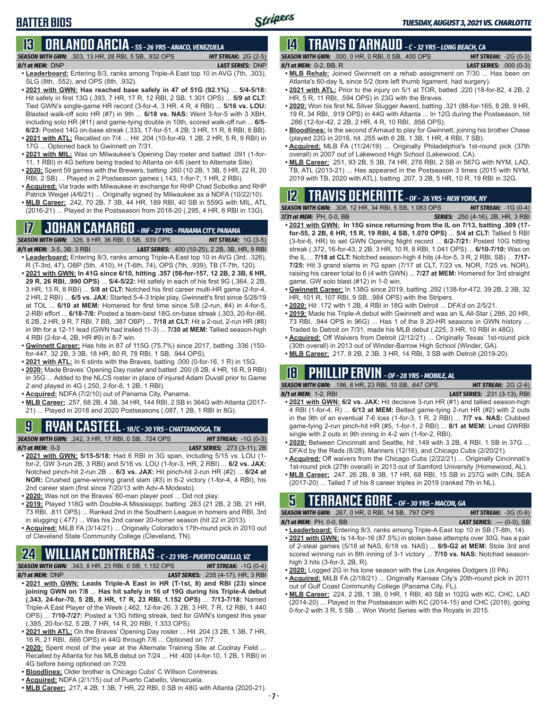## **13 ORLANDO ARCIA** *- SS - 26 YRS - ANACO, VENEZUELA*

| <b>SEASON WITH GWN: .303, 13 HR, 28 RBI, 53</b> |  |  |
|-------------------------------------------------|--|--|
| 8/1 at MEM: DNP                                 |  |  |

#### *8/1 at MEM:*DNP *LAST SERIES:* DNP **• Leaderboard:** Entering 8/3, ranks among Triple-A East top 10 in AVG (7th, .303), SLG (8th, .552), and OPS (8th, .932).

*SEASON WITH GWN:*.303, 13 HR, 28 RBI, 5 SB, .932 OPS *HIT STREAK:* 2G (2-5)

- **• 2021 with GWN: Has reached base safely in 47 of 51G (92.1%)** ... **5/4-5/18:**  Hit safely in first 13G (.393, 7 HR, 17 R, 12 RBI, 2 SB, 1.301 OPS) ... **5/9 at CLT:** Tied GWN's single-game HR record (3-for-4, 3 HR, 4 R, 4 RBI) ... **5/16 vs. LOU:** Blasted walk-off solo HR (#7) in 9th ... **6/18 vs. NAS:** Went 3-for-5 with 3 XBH, including solo HR (#11) and game-tying double in 10th, scored walk-off run ... **6/5- 6/23:** Posted 14G on-base streak (.333, 17-for-51, 4 2B, 3 HR, 11 R, 8 RBI, 6 BB). **• 2021 with ATL:** Recalled on 7/4 ... Hit .204 (10-for-49, 1 2B, 2 HR, 5 R, 9 RBI) in
- 17G ... Optioned back to Gwinnett on 7/31. **• 2021 with MIL:** Was on Milwaukee's Opening Day roster and batted .091 (1-for-
- 11, 1 RBI) in 4G before being traded to Atlanta on 4/6 (sent to Alternate Site).
- **• 2020:** Spent 59 games with the Brewers, batting .260 (10 2B, 1 3B, 5 HR, 22 R, 20 RBI, 2 SB) ... Played in 2 Postseason games (.143, 1-for-7, 1 HR, 2 RBI).
- **• Acquired:** Via trade with Milwaukee in exchange for RHP Chad Sobotka and RHP Patrick Weigel (4/6/21) ... Originally signed by Milwaukee as a NDFA (10/22/10).
- **• MLB Career:** .242, 70 2B, 7 3B, 44 HR, 189 RBI, 40 SB in 559G with MIL, ATL (2016-21) ... Played in the Postseason from 2018-20 (.295, 4 HR, 6 RBI in 13G).

## **17 JOHAN CAMARGO** *- INF - 27 YRS - PANAMA CITY, PANAMA*



R (T-3rd, 47), OBP (5th, .410), H (T-6th, 74), OPS (7th, .939), TB (T-7th, 120).

- **• 2021 with GWN: In 41G since 6/10, hitting .357 (56-for-157, 12 2B, 2 3B, 6 HR, 29 R, 26 RBI, .990 OPS)** ... **5/4-5/22:** Hit safely in each of his first 9G (.364, 2 2B, 3 HR, 13 R, 8 RBI) ... **5/8 at CLT:** Notched his first career multi-HR game (2-for-4, 2 HR, 2 RBI) ... **6/5 vs. JAX:** Started 5-4-3 triple play, Gwinnett's first since 5/28/19 at TOL ... **6/10 at MEM:** Homered for first time since 5/8 (2-run, #4) in 4-for-5, 2-RBI effort ... **6/18-7/8:** Posted a team-best 18G on-base streak (.303, 20-for-66, 6 2B, 2 HR, 9 R, 7 RBI, 7 BB, .387 OBP) ... **7/18 at CLT:** Hit a 2-out, 2-run HR (#8) in 9th for a 12-11 lead (GWN had trailed 11-3) ... **7/30 at MEM:** Tallied season-high 4 RBI (2-for-4, 2B, HR #9) in 8-7 win.
- **• Gwinnett Career:** Has hits in 87 of 115G (75.7%) since 2017, batting .336 (150 for-447, 32 2B, 3 3B, 18 HR, 80 R, 78 RBI, 1 SB, .944 OPS).
- **• 2021 with ATL:** In 6 stints with the Braves, batting .000 (0-for-16, 1 R) in 15G.
- **• 2020:** Made Braves' Opening Day roster and batted .200 (8 2B, 4 HR, 16 R, 9 RBI) in 35G ... Added to the NLCS roster in place of injured Adam Duvall prior to Game 2 and played in 4G (.250, 2-for-8, 1 2B, 1 RBI).
- **• Acquired:** NDFA (7/2/10) out of Panama City, Panama.
- **• MLB Career:** .257, 68 2B, 4 3B, 34 HR, 144 RBI, 2 SB in 364G with Atlanta (2017- 21) ... Played in 2018 and 2020 Postseasons (.087, 1 2B, 1 RBI in 8G).

## **9 RYAN CASTEEL** *- 1B/C - 30 YRS - CHATTANOOGA, TN*

*SEASON WITH GWN:*.242, 3 HR, 17 RBI, 0 SB, .724 OPS *HIT STREAK:* -1G (0-3) *8/1 at MEM:*0-3 *LAST SERIES:* .273 (3-11), 2B

- **• 2021 with GWN: 5/15-5/18:** Had 6 RBI in 3G span, including 5/15 vs. LOU (1 for-2, GW 3-run 2B, 3 RBI) and 5/16 vs. LOU (1-for-3, HR, 2 RBI) ... **6/2 vs. JAX:** Notched pinch-hit 2-run 2B ... **6/3 vs. JAX:** Hit pinch-hit 2-run HR (#2) ... **6/24 at NOR:** Crushed game-winning grand slam (#3) in 6-2 victory (1-for-4, 4 RBI), his 2nd career slam (first since 7/20/13 with Adv-A Modesto).
- **• 2020:** Was not on the Braves' 60-man player pool ... Did not play.
- **• 2019:** Played 118G with Double-A Mississippi, batting .263 (21 2B, 2 3B, 21 HR, 73 RBI, .811 OPS) ... Ranked 2nd in the Southern League in homers and RBI, 3rd in slugging (.477) ... Was his 2nd career 20-homer season (hit 22 in 2013).
- **• Acquired:** MiLB FA (3/14/21) ... Originally Colorado's 17th-round pick in 2010 out of Cleveland State Community College (Cleveland, TN).

## **24 WILLIAM CONTRERAS** *- C - 23 YRS - PUERTO CABELLO, VZ*

*SEASON WITH GWN:*.343, 8 HR, 23 RBI, 0 SB, 1.152 OPS *HIT STREAK:* -1G (0-4) *8/1 at MEM:* DNP *LAST SERIES:* .235 (4-17), HR, 3 RBI

- **• 2021 with GWN: Leads Triple-A East in HR (T-1st, 8) and RBI (23) since joining GWN on 7/8** ... **Has hit safely in 16 of 19G during his Triple-A debut (.343, 24-for-70, 5 2B, 8 HR, 17 R, 23 RBI, 1.152 OPS)** ... **7/13-7/18:** Named Triple-A East Player of the Week (.462, 12-for-26, 3 2B, 3 HR, 7 R, 12 RBI, 1.440 OPS) ... **7/10-7/27:** Posted a 13G hitting streak, tied for GWN's longest this year (.385, 20-for-52, 5 2B, 7 HR, 14 R, 20 RBI, 1.333 OPS).
- **• 2021 with ATL:** On the Braves' Opening Day roster ... Hit .204 (3 2B, 1 3B, 7 HR, 16 R, 21 RBI, .666 OPS) in 44G through 7/6 ... Optioned on 7/7.
- **• 2020:** Spent most of the year at the Alternate Training Site at Coolray Field ... Recalled by Atlanta for his MLB debut on 7/24 ... Hit .400 (4-for-10, 1 2B, 1 RBI) in 4G before being optioned on 7/29.
- **• Bloodlines:** Older brother is Chicago Cubs' C Willson Contreras.
- **• Acquired:** NDFA (2/1/15) out of Puerto Cabello, Venezuela.
- **• MLB Career:** .217, 4 2B, 1 3B, 7 HR, 22 RBI, 0 SB in 48G with Atlanta (2020-21).

## **14 TRAVIS d'ARNAUD** *- C - 32 YRS - LONG BEACH, CA*

*SEASON WITH GWN:*.000, 0 HR, 0 RBI, 0 SB, .400 OPS *HIT STREAK:* -2G (0-3) *8/1 at MEM:*0-2, BB, R *LAST SERIES:* .000 (0-3)

- **• MLB Rehab:** Joined Gwinnett on a rehab assignment on 7/30 ... Has been on Atlanta's 60-day IL since 5/2 (tore left thumb ligament, had surgery).
- **• 2021 with ATL:** Prior to the injury on 5/1 at TOR, batted .220 (18-for-82, 4 2B, 2 HR, 5 R, 11 RBI, .594 OPS) in 23G with the Braves.
- **• 2020:** Won his first NL Silver Slugger Award, batting .321 (88-for-165, 8 2B, 9 HR, 19 R, 34 RBI, .919 OPS) in 44G with Atlanta ... In 12G during the Postseason, hit .286 (12-for-42, 2 2B, 2 HR, 4 R, 10 RBI, .856 OPS).
- **• Bloodlines:** Is the second d'Arnaud to play for Gwinnett, joining his brother Chase (played 22G in 2016, hit .255 with 6 2B, 1 3B, 1 HR, 4 RBI, 7 SB).
- **• Acquired:** MLB FA (11/24/19) ... Originally Philadelphia's 1st-round pick (37th overall) in 2007 out of Lakewood High School (Lakewood, CA).
- **• MLB Career:** .251, 93 2B, 5 3B, 74 HR, 276 RBI, 2 SB in 567G with NYM, LAD, TB, ATL (2013-21) ... Has appeared in the Postseason 3 times (2015 with NYM, 2019 with TB, 2020 with ATL), batting .207, 3 2B, 5 HR, 10 R, 19 RBI in 32G.

### **12 TRAVIS DEMERITTE** *- OF - 26 YRS - NEW YORK, NY*

*SEASON WITH GWN:*.308, 12 HR, 34 RBI, 5 SB, 1.083 OPS *HIT STREAK:* -1G (0-4)

- *7/31 at MEM:*PH, 0-0, BB *SERIES:* .250 (4-16), 2B, HR, 3 RBI **• 2021 with GWN: In 15G since returning from the IL on 7/13, batting .309 (17 for-55, 2 2B, 6 HR, 15 R, 19 RBI, 4 SB, 1.070 OPS)** ... **5/4 at CLT:** Tallied 5 RBI (3-for-6, HR) to set GWN Opening Night record ... **6/2-7/21:** Posted 10G hitting streak (.372, 16-for-43, 2 2B, 3 HR, 10 R, 8 RBI, 1.041 OPS) ... **6/10-7/10:** Was on the IL ... **7/18 at CLT:** Notched season-high 4 hits (4-for-5, 3 R, 2 RBI, SB) ... **7/17- 7/25:** Hit 3 grand slams in 7G span (7/17 at CLT, 7/23 vs. NOR, 7/25 vs. NOR), raising his career total to 6 (4 with GWN) ... **7/27 at MEM:** Homered for 3rd straight game, GW solo blast (#12) in 1-0 win.
- **• Gwinnett Career:** In 138G since 2019, batting .292 (138-for-472, 39 2B, 2 3B, 32 HR, 101 R, 107 RBI, 9 SB, .984 OPS) with the Stripers.
- **• 2020:** Hit .172 with 1 2B, 4 RBI in 18G with Detroit ... DFA'd on 2/5/21.
- **• 2019:** Made his Triple-A debut with Gwinnett and was an IL All-Star (.286, 20 HR, 73 RBI, .944 OPS in 96G) ... Has 1 of the 9 20-HR seasons in GWN history ... Traded to Detroit on 7/31, made his MLB debut (.225, 3 HR, 10 RBI in 48G).
- **• Acquired:** Off Waivers from Detroit (2/12/21) ... Originally Texas' 1st-round pick (30th overall) in 2013 out of Winder-Barrow High School (Winder, GA).
- **• MLB Career:** .217, 8 2B, 2 3B, 3 HR, 14 RBI, 3 SB with Detroit (2019-20).

### **18 PHILLIP ERVIN** *- OF - 28 YRS - MOBILE, AL*

*SEASON WITH GWN:*.196, 6 HR, 23 RBI, 10 SB, .647 OPS *HIT STREAK:* 2G (2-6) *8/1 at MEM:*1-2, RBI *LAST SERIES:* .231 (3-13), RBI

- **• 2021 with GWN: 6/2 vs. JAX:** Hit decisive 3-run HR (#1) and tallied season-high 4 RBI (1-for-4, R) ... **6/13 at MEM:** Belted game-tying 2-run HR (#2) with 2 outs in the 9th of an eventual 7-6 loss (1-for-3, 1 R, 2 RBI) ... **7/7 vs. NAS:** Clubbed game-tying 2-run pinch-hit HR (#5, 1-for-1, 2 RBI) ... **8/1 at MEM:** Lined GWRBI single with 2 outs in 9th inning in 4-2 win (1-for-2, RBI).
- **• 2020:** Between Cincinnati and Seattle, hit .149 with 3 2B, 4 RBI, 1 SB in 37G ... DFA'd by the Reds (8/28), Mariners (12/16), and Chicago Cubs (2/20/21).
- **• Acquired:** Off waivers from the Chicago Cubs (2/22/21) ... Originally Cincinnati's 1st-round pick (27th overall) in 2013 out of Samford University (Homewood, AL).
- **• MLB Career:** .247, 26 2B, 8 3B, 17 HR, 68 RBI, 15 SB in 237G with CIN, SEA (2017-20) ... Talled 7 of his 8 career triples in 2019 (ranked 7th in NL).

## **5 TERRANCE GORE** *- OF - 30 YRS - MACON, GA*

*SEASON WITH GWN:*.267, 0 HR, 0 RBI, 14 SB, .797 OPS *HIT STREAK:* -3G (0-8)

- *8/1 at MEM:*PH, 0-0, BB *LAST SERIES:* .--- (0-0), SB **• Leaderboard:** Entering 8/3, ranks among Triple-A East top 10 in SB (T-8th, 14).
- **• 2021 with GWN:** Is 14-for-16 (87.5%) in stolen base attempts over 30G, has a pair of 2-steal games (5/18 at NAS, 6/18 vs. NAS) ... **6/9-G2 at MEM:** Stole 3rd and scored winning run in 8th inning of 3-1 victory ... **7/10 vs. NAS:** Notched seasonhigh 3 hits (3-for-3, 2B, R).
- **• 2020:** Logged 2G in his lone season with the Los Angeles Dodgers (0 PA).
- **• Acquired:** MiLB FA (2/18/21) ... Originally Kansas City's 20th-round pick in 2011 out of Gulf Coast Community College (Panama City, FL).
- **• MLB Career:** .224, 2 2B, 1 3B, 0 HR, 1 RBI, 40 SB in 102G with KC, CHC, LAD (2014-20) ... Played in the Postseason with KC (2014-15) and CHC (2018), going 0-for-2 with 3 R, 5 SB ... Won World Series with the Royals in 2015.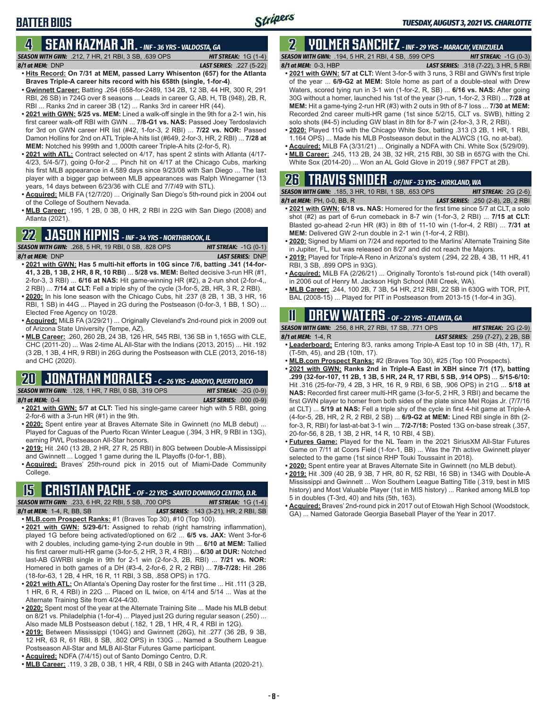### **BATTER BIOS**

#### **4 SEAN KAZMAR JR.** *- INF - 36 YRS - VALDOSTA, GA*

*SEASON WITH GWN:*.212, 7 HR, 21 RBI, 3 SB, .639 OPS *HIT STREAK:* 1G (1-4) *8/1 at MEM:*DNP *LAST SERIES:* .227 (5-22)

- **• Hits Record: On 7/31 at MEM, passed Larry Whisenton (657) for the Atlanta Braves Triple-A career hits record with his 658th (single, 1-for-4)**. **• Gwinnett Career:** Batting .264 (658-for-2489, 134 2B, 12 3B, 44 HR, 300 R, 291
- RBI, 26 SB) in 724G over 8 seasons ... Leads in career G, AB, H, TB (948), 2B, R, RBI ... Ranks 2nd in career 3B (12) ... Ranks 3rd in career HR (44).
- **• 2021 with GWN: 5/25 vs. MEM:** Lined a walk-off single in the 9th for a 2-1 win, his first career walk-off RBI with GWN ... **7/8-G1 vs. NAS:** Passed Joey Terdoslavich for 3rd on GWN career HR list (#42, 1-for-3, 2 RBI) ... **7/22 vs. NOR:** Passed Damon Hollins for 2nd on ATL Triple-A hits list (#649, 2-for-3, HR, 2 RBI) ... **7/28 at MEM:** Notched his 999th and 1,000th career Triple-A hits (2-for-5, R).
- **• 2021 with ATL:** Contract selected on 4/17, has spent 2 stints with Atlanta (4/17- 4/23, 5/4-5/7), going 0-for-2 ... Pinch hit on 4/17 at the Chicago Cubs, marking his first MLB appearance in 4,589 days since 9/23/08 with San Diego ... The last player with a bigger gap between MLB appearances was Ralph Winegarner (13 years, 14 days between 6/23/36 with CLE and 7/7/49 with STL).
- **• Acquired:** MiLB FA (12/7/20) ... Originally San Diego's 5th-round pick in 2004 out of the College of Southern Nevada.
- **• MLB Career:** .195, 1 2B, 0 3B, 0 HR, 2 RBI in 22G with San Diego (2008) and Atlanta (2021).

### **22 JASON KIPNIS** *- INF - 34 YRS - NORTHBROOK, IL*

*SEASON WITH GWN:*.268, 5 HR, 19 RBI, 0 SB, .828 OPS *HIT STREAK:* -1G (0-1) *8/1 at MEM:*DNP *LAST SERIES:* DNP

- **• 2021 with GWN: Has 5 multi-hit efforts in 10G since 7/6, batting .341 (14-for-41, 3 2B, 1 3B, 2 HR, 8 R, 10 RBI)** ... **5/28 vs. MEM:** Belted decisive 3-run HR (#1, 2-for-3, 3 RBI) ... **6/16 at NAS:** Hit game-winning HR (#2), a 2-run shot (2-for-4,, 2 RBI) ... **7/14 at CLT:** Fell a triple shy of the cycle (3-for-5, 2B, HR, 3 R, 2 RBI).
- **• 2020:** In his lone season with the Chicago Cubs, hit .237 (8 2B, 1 3B, 3 HR, 16 RBI, 1 SB) in 44G ... Played in 2G during the Postseason (0-for-3, 1 BB, 1 SO) ... Elected Free Agency on 10/28.
- **• Acquired:** MiLB FA (3/29/21) ... Originally Cleveland's 2nd-round pick in 2009 out of Arizona State University (Tempe, AZ).
- **• MLB Career:** .260, 260 2B, 24 3B, 126 HR, 545 RBI, 136 SB in 1,165G with CLE, CHC (2011-20) ... Was 2-time AL All-Star with the Indians (2013, 2015) ... Hit .192 (3 2B, 1 3B, 4 HR, 9 RBI) in 26G during the Postseason with CLE (2013, 2016-18) and CHC (2020).

## **20 JONATHAN MORALES** *- C - 26 YRS - ARROYO, PUERTO RICO*

*SEASON WITH GWN:*.128, 1 HR, 7 RBI, 0 SB, .319 OPS *HIT STREAK:* -2G (0-9) *8/1 at MEM:*0-4 *LAST SERIES:* .000 (0-9)

- **• 2021 with GWN: 5/7 at CLT:** Tied his single-game career high with 5 RBI, going 2-for-6 with a 3-run HR (#1) in the 9th.
- **• 2020:** Spent entire year at Braves Alternate Site in Gwinnett (no MLB debut) ... Played for Caguas of the Puerto Rican Winter League (.394, 3 HR, 9 RBI in 13G), earning PWL Postseason All-Star honors.
- **• 2019:** Hit .240 (13 2B, 2 HR, 27 R, 25 RBI) in 80G between Double-A Mississippi and Gwinnett ... Logged 1 game during the IL Playoffs (0-for-1, BB).
- **• Acquired:** Braves' 25th-round pick in 2015 out of Miami-Dade Community College.

### **15 CRISTIAN PACHE** *- OF - 22 YRS - SANTO DOMINGO CENTRO, D.R.*

*SEASON WITH GWN:*.233, 6 HR, 22 RBI, 5 SB, .700 OPS *HIT STREAK:* 1G (1-4) *8/1 at MEM:* 1-4, R, BB, SB *LAST SERIES:* .143 (3-21), HR, 2 RBI, SB

- **• MLB.com Prospect Ranks:** #1 (Braves Top 30), #10 (Top 100).
- **• 2021 with GWN: 5/29-6/1:** Assigned to rehab (right hamstring inflammation), played 1G before being activated/optioned on 6/2 ... **6/5 vs. JAX:** Went 3-for-6 with 2 doubles, including game-tying 2-run double in 9th ... **6/10 at MEM:** Tallied his first career multi-HR game (3-for-5, 2 HR, 3 R, 4 RBI) ... **6/30 at DUR:** Notched last-AB GWRBI single in 9th for 2-1 win (2-for-3, 2B, RBI) ... **7/21 vs. NOR:** Homered in both games of a DH (#3-4, 2-for-6, 2 R, 2 RBI) ... **7/8-7/28:** Hit .286 (18-for-63, 1 2B, 4 HR, 16 R, 11 RBI, 3 SB, .858 OPS) in 17G.
- **• 2021 with ATL:** On Atlanta's Opening Day roster for the first time ... Hit .111 (3 2B, 1 HR, 6 R, 4 RBI) in 22G ... Placed on IL twice, on 4/14 and 5/14 ... Was at the Alternate Training Site from 4/24-4/30.
- **• 2020:** Spent most of the year at the Alternate Training Site ... Made his MLB debut on 8/21 vs. Philadelphia (1-for-4) ... Played just 2G during regular season (.250) ... Also made MLB Postseason debut (.182, 1 2B, 1 HR, 4 R, 4 RBI in 12G).
- **• 2019:** Between Mississippi (104G) and Gwinnett (26G), hit .277 (36 2B, 9 3B, 12 HR, 63 R, 61 RBI, 8 SB, .802 OPS) in 130G ... Named a Southern League Postseason All-Star and MLB All-Star Futures Game participant.
- **• Acquired:** NDFA (7/4/15) out of Santo Domingo Centro, D.R.
- **• MLB Career:** .119, 3 2B, 0 3B, 1 HR, 4 RBI, 0 SB in 24G with Atlanta (2020-21).

#### **2 YOLMER SANCHEZ** *- INF - 29 YRS - MARACAY, VENEZUELA SEASON WITH GWN:*.194, 5 HR, 21 RBI, 4 SB, .599 OPS *HIT STREAK:* -1G (0-3)

*8/1 at MEM:*0-3, HBP *LAST SERIES:* .318 (7-22), 3 HR, 5 RBI

- **• 2021 with GWN: 5/7 at CLT:** Went 3-for-5 with 3 runs, 3 RBI and GWN's first triple of the year ... **6/9-G2 at MEM:** Stole home as part of a double-steal with Drew Waters, scored tying run in 3-1 win (1-for-2, R, SB) ... **6/16 vs. NAS:** After going 30G without a homer, launched his 1st of the year (3-run, 1-for-2, 3 RBI) ... **7/28 at MEM:** Hit a game-tying 2-run HR (#3) with 2 outs in 9th of 8-7 loss ... **7/30 at MEM:** Recorded 2nd career multi-HR game (1st since 5/2/15, CLT vs. SWB), hitting 2 solo shots (#4-5) including GW blast in 8th for 8-7 win (2-for-3, 3 R, 2 RBI).
- **• 2020:** Played 11G with the Chicago White Sox, batting .313 (3 2B, 1 HR, 1 RBI, 1.164 OPS) ... Made his MLB Postseason debut in the ALWCS (1G, no at-bat).
- **• Acquired:** MiLB FA (3/31/21) ... Originally a NDFA with Chi. White Sox (5/29/09). **• MLB Career:** .245, 113 2B, 24 3B, 32 HR, 215 RBI, 30 SB in 657G with the Chi.
- White Sox (2014-20) ... Won an AL Gold Glove in 2019 (.987 FPCT at 2B).

## **26 TRAVIS SNIDER** *- OF/INF - 33 YRS - KIRKLAND, WA*

*SEASON WITH GWN:*.185, 3 HR, 10 RBI, 1 SB, .653 OPS *HIT STREAK:* 2G (2-6) *8/1 at MEM:* PH, 0-0, BB, R *LAST SERIES:* .250 (2-8), 2B, 2 RBI

- **• 2021 with GWN: 6/18 vs. NAS:** Homered for the first time since 5/7 at CLT, a solo shot (#2) as part of 6-run comeback in 8-7 win (1-for-3, 2 RBI) ... **7/15 at CLT:** Blasted go-ahead 2-run HR (#3) in 8th of 11-10 win (1-for-4, 2 RBI) ... **7/31 at MEM:** Delivered GW 2-run double in 2-1 win (1-for-4, 2 RBI).
- **• 2020:** Signed by Miami on 7/24 and reported to the Marlins' Alternate Training Site in Jupiter, FL, but was released on 8/27 and did not reach the Majors.
- **• 2019:** Played for Triple-A Reno in Arizona's system (.294, 22 2B, 4 3B, 11 HR, 41 RBI, 3 SB, .899 OPS in 93G).
- **• Acquired:** MiLB FA (2/26/21) ... Originally Toronto's 1st-round pick (14th overall) in 2006 out of Henry M. Jackson High School (Mill Creek, WA).
- **• MLB Career:** .244, 100 2B, 7 3B, 54 HR, 212 RBI, 22 SB in 630G with TOR, PIT, BAL (2008-15) ... Played for PIT in Postseason from 2013-15 (1-for-4 in 3G).

## **11 Drew WATERS** *- OF - 22 YRS - ATLANTA, GA*

*SEASON WITH GWN:*.256, 8 HR, 27 RBI, 17 SB, .771 OPS *HIT STREAK:* 2G (2-9) *8/1 at MEM:*1-4, R *LAST SERIES:* .259 (7-27), 2 2B, SB

- **• Leaderboard:** Entering 8/3, ranks among Triple-A East top 10 in SB (4th, 17), R (T-5th, 45), and 2B (10th, 17).
- **• MLB.com Prospect Ranks:** #2 (Braves Top 30), #25 (Top 100 Prospects).
- **• 2021 with GWN: Ranks 2nd in Triple-A East in XBH since 7/1 (17), batting .299 (32-for-107, 11 2B, 1 3B, 5 HR, 24 R, 17 RBI, 5 SB, .914 OPS)** ... **5/15-6/10:** Hit .316 (25-for-79, 4 2B, 3 HR, 16 R, 9 RBI, 6 SB, .906 OPS) in 21G ... **5/18 at NAS:** Recorded first career multi-HR game (3-for-5, 2 HR, 3 RBI) and became the first GWN player to homer from both sides of the plate since Mel Rojas Jr. (7/7/16 at CLT) ... **5/19 at NAS:** Fell a triple shy of the cycle in first 4-hit game at Triple-A (4-for-5, 2B, HR, 2 R, 2 RBI, 2 SB) ... **6/9-G2 at MEM:** Lined RBI single in 8th (2 for-3, R, RBI) for last-at-bat 3-1 win ... **7/2-7/18:** Posted 13G on-base streak (.357, 20-for-56, 8 2B, 1 3B, 2 HR, 14 R, 10 RBI, 4 SB).
- **• Futures Game:** Played for the NL Team in the 2021 SiriusXM All-Star Futures Game on 7/11 at Coors Field (1-for-1, BB) ... Was the 7th active Gwinnett player selected to the game (1st since RHP Touki Toussaint in 2018).
- **• 2020:** Spent entire year at Braves Alternate Site in Gwinnett (no MLB debut).
- **• 2019:** Hit .309 (40 2B, 9 3B, 7 HR, 80 R, 52 RBI, 16 SB) in 134G with Double-A Mississippi and Gwinnett ... Won Southern League Batting Title (.319, best in MIS history) and Most Valuable Player (1st in MIS history) ... Ranked among MiLB top 5 in doubles (T-3rd, 40) and hits (5th, 163).
- **• Acquired:** Braves' 2nd-round pick in 2017 out of Etowah High School (Woodstock, GA) ... Named Gatorade Georgia Baseball Player of the Year in 2017.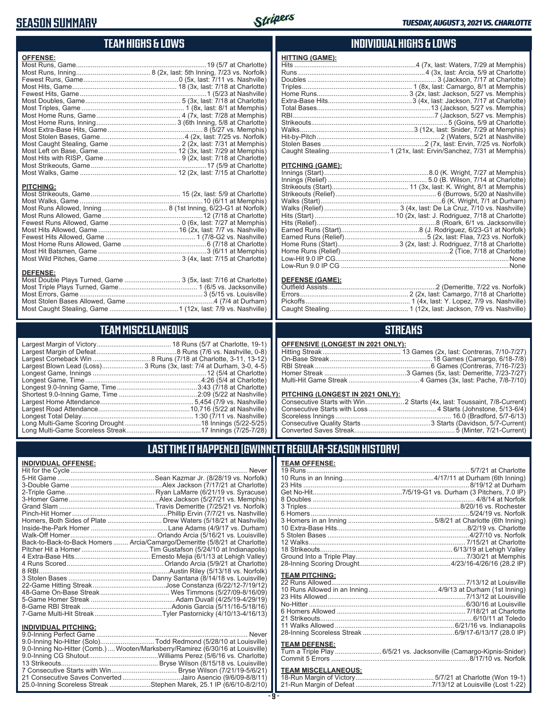### **SEASON SUMMARY**



### **TEAM HIGHS & LOWS**

| <b>OFFENSE:</b>  |  |
|------------------|--|
|                  |  |
|                  |  |
|                  |  |
|                  |  |
|                  |  |
|                  |  |
|                  |  |
|                  |  |
|                  |  |
|                  |  |
|                  |  |
|                  |  |
|                  |  |
|                  |  |
|                  |  |
|                  |  |
|                  |  |
| <b>PITCHING:</b> |  |
|                  |  |
|                  |  |
|                  |  |
|                  |  |
|                  |  |
|                  |  |
|                  |  |
|                  |  |
|                  |  |
|                  |  |
|                  |  |

#### **DEFENSE:**

## **TEAM MISCELLANEOUS**

| Largest Blown Lead (Loss) 3 Runs (3x, last: 7/4 at Durham, 3-0, 4-5) |
|----------------------------------------------------------------------|
|                                                                      |
|                                                                      |
|                                                                      |
|                                                                      |
|                                                                      |
|                                                                      |
|                                                                      |
|                                                                      |
|                                                                      |

### **INDIVIDUAL HIGHS & LOWS**

| <b>HITTING (GAME):</b> |  |
|------------------------|--|
|                        |  |
|                        |  |
|                        |  |
|                        |  |
|                        |  |
|                        |  |
|                        |  |
|                        |  |
|                        |  |
|                        |  |
|                        |  |
|                        |  |
|                        |  |
|                        |  |

#### **PITCHING (GAME):**

#### **DEFENSE (GAME):**

### **STREAKS**

#### **OFFENSIVE (LONGEST IN 2021 ONLY):**

#### **PITCHING (LONGEST IN 2021 ONLY):**

### **LAST TIME IT HAPPENED (GWINNETT REGULAR-SEASON HISTORY)**

#### **INDIVIDUAL OFFENSE:**

|                                                        | Homers, Both Sides of Plate  Drew Waters (5/18/21 at Nashville)            |
|--------------------------------------------------------|----------------------------------------------------------------------------|
|                                                        |                                                                            |
|                                                        |                                                                            |
|                                                        | Back-to-Back-to-Back Homers  Arcia/Camargo/Demeritte (5/8/21 at Charlotte) |
|                                                        |                                                                            |
|                                                        |                                                                            |
|                                                        |                                                                            |
|                                                        |                                                                            |
|                                                        |                                                                            |
|                                                        |                                                                            |
|                                                        |                                                                            |
|                                                        |                                                                            |
|                                                        |                                                                            |
|                                                        |                                                                            |
|                                                        |                                                                            |
| <b>INDIVIDUAL PITCHING:</b><br>0.0 Inning Perfect Came | Nover                                                                      |
|                                                        |                                                                            |

| 9.0-Inning No-Hitter (Solo)Todd Redmond (5/28/10 at Louisville)                |  |
|--------------------------------------------------------------------------------|--|
| 9.0-Inning No-Hitter (Comb.) Wooten/Marksberry/Ramirez (6/30/16 at Louisville) |  |
|                                                                                |  |
|                                                                                |  |
|                                                                                |  |
| 21 Consecutive Saves Converted Jairo Asencio (9/6/09-8/8/11)                   |  |
| 25.0-Inning Scoreless Streak Stephen Marek, 25.1 IP (6/6/10-8/2/10)            |  |
|                                                                                |  |

#### **TEAM OFFENSE:**

| <b>TEAM PITCHING:</b> |  |
|-----------------------|--|
|                       |  |
|                       |  |
|                       |  |
|                       |  |
|                       |  |
|                       |  |
|                       |  |
|                       |  |

#### **TEAM DEFENSE:**

| Turn a Triple Play 6/5/21 vs. Jacksonville (Camargo-Kipnis-Snider) |
|--------------------------------------------------------------------|
|                                                                    |

| TEAM MISCELLANEOUS: |  |
|---------------------|--|
|                     |  |
|                     |  |